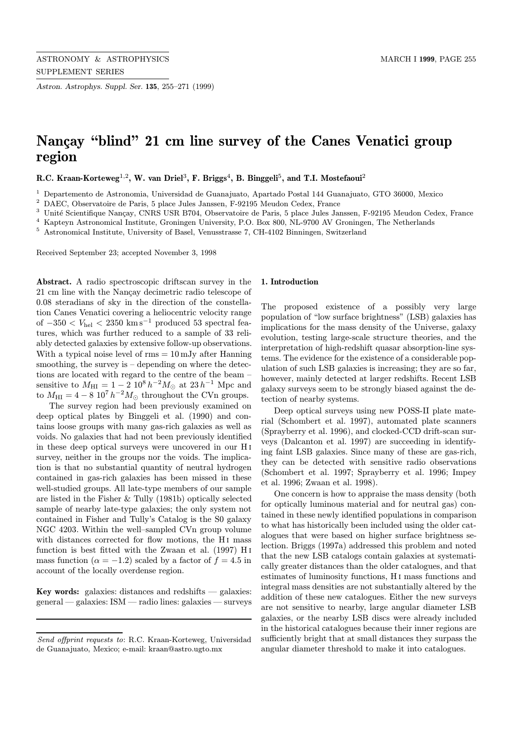Astron. Astrophys. Suppl. Ser. 135, 255–271 (1999)

# Nançay "blind" 21 cm line survey of the Canes Venatici group region

R.C. Kraan-Korteweg<sup>1,2</sup>, W. van Driel<sup>3</sup>, F. Briggs<sup>4</sup>, B. Binggeli<sup>5</sup>, and T.I. Mostefaoui<sup>2</sup>

<sup>1</sup> Departemento de Astronomia, Universidad de Guanajuato, Apartado Postal 144 Guanajuato, GTO 36000, Mexico

<sup>2</sup> DAEC, Observatoire de Paris, 5 place Jules Janssen, F-92195 Meudon Cedex, France

<sup>3</sup> Unité Scientifique Nançay, CNRS USR B704, Observatoire de Paris, 5 place Jules Janssen, F-92195 Meudon Cedex, France

<sup>4</sup> Kapteyn Astronomical Institute, Groningen University, P.O. Box 800, NL-9700 AV Groningen, The Netherlands

<sup>5</sup> Astronomical Institute, University of Basel, Venusstrasse 7, CH-4102 Binningen, Switzerland

Received September 23; accepted November 3, 1998

Abstract. A radio spectroscopic driftscan survey in the 21 cm line with the Nançay decimetric radio telescope of 0.08 steradians of sky in the direction of the constellation Canes Venatici covering a heliocentric velocity range of  $-350 < V_{hel} < 2350$  km s<sup>-1</sup> produced 53 spectral features, which was further reduced to a sample of 33 reliably detected galaxies by extensive follow-up observations. With a typical noise level of  $\text{rms} = 10 \text{ mJy}$  after Hanning smoothing, the survey is  $-$  depending on where the detections are located with regard to the centre of the beam – sensitive to  $M_{\text{HI}} = 1 - 2 \, 10^8 \, h^{-2} M_{\odot}$  at  $23 \, h^{-1}$  Mpc and to  $M_{\text{HI}} = 4 - 8 \cdot 10^7 h^{-2} M_{\odot}$  throughout the CVn groups.

The survey region had been previously examined on deep optical plates by Binggeli et al. (1990) and contains loose groups with many gas-rich galaxies as well as voids. No galaxies that had not been previously identified in these deep optical surveys were uncovered in our H i survey, neither in the groups nor the voids. The implication is that no substantial quantity of neutral hydrogen contained in gas-rich galaxies has been missed in these well-studied groups. All late-type members of our sample are listed in the Fisher & Tully (1981b) optically selected sample of nearby late-type galaxies; the only system not contained in Fisher and Tully's Catalog is the S0 galaxy NGC 4203. Within the well–sampled CVn group volume with distances corrected for flow motions, the H<sub>I</sub> mass function is best fitted with the Zwaan et al. (1997) H i mass function ( $\alpha = -1.2$ ) scaled by a factor of  $f = 4.5$  in account of the locally overdense region.

Key words: galaxies: distances and redshifts  $-$  galaxies: general — galaxies: ISM — radio lines: galaxies — surveys

#### 1. Introduction

The proposed existence of a possibly very large population of "low surface brightness" (LSB) galaxies has implications for the mass density of the Universe, galaxy evolution, testing large-scale structure theories, and the interpretation of high-redshift quasar absorption-line systems. The evidence for the existence of a considerable population of such LSB galaxies is increasing; they are so far, however, mainly detected at larger redshifts. Recent LSB galaxy surveys seem to be strongly biased against the detection of nearby systems.

Deep optical surveys using new POSS-II plate material (Schombert et al. 1997), automated plate scanners (Sprayberry et al. 1996), and clocked-CCD drift-scan surveys (Dalcanton et al. 1997) are succeeding in identifying faint LSB galaxies. Since many of these are gas-rich, they can be detected with sensitive radio observations (Schombert et al. 1997; Sprayberry et al. 1996; Impey et al. 1996; Zwaan et al. 1998).

One concern is how to appraise the mass density (both for optically luminous material and for neutral gas) contained in these newly identified populations in comparison to what has historically been included using the older catalogues that were based on higher surface brightness selection. Briggs (1997a) addressed this problem and noted that the new LSB catalogs contain galaxies at systematically greater distances than the older catalogues, and that estimates of luminosity functions, H i mass functions and integral mass densities are not substantially altered by the addition of these new catalogues. Either the new surveys are not sensitive to nearby, large angular diameter LSB galaxies, or the nearby LSB discs were already included in the historical catalogues because their inner regions are sufficiently bright that at small distances they surpass the angular diameter threshold to make it into catalogues.

Send offprint requests to: R.C. Kraan-Korteweg, Universidad de Guanajuato, Mexico; e-mail: kraan@astro.ugto.mx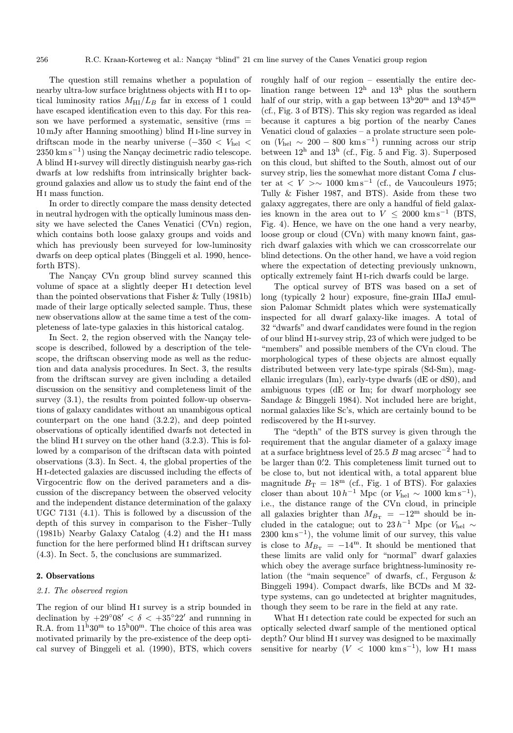The question still remains whether a population of nearby ultra-low surface brightness objects with H i to optical luminosity ratios  $M_{\text{HI}}/L_B$  far in excess of 1 could have escaped identification even to this day. For this reason we have performed a systematic, sensitive  $(rms =$ 10 mJy after Hanning smoothing) blind H i-line survey in driftscan mode in the nearby universe ( $-350 < V_{hel} <$  $2350 \text{ km s}^{-1}$ ) using the Nançay decimetric radio telescope. A blind H i-survey will directly distinguish nearby gas-rich dwarfs at low redshifts from intrinsically brighter background galaxies and allow us to study the faint end of the H<sub>I</sub> mass function.

In order to directly compare the mass density detected in neutral hydrogen with the optically luminous mass density we have selected the Canes Venatici (CVn) region, which contains both loose galaxy groups and voids and which has previously been surveyed for low-luminosity dwarfs on deep optical plates (Binggeli et al. 1990, henceforth BTS).

The Nancay CVn group blind survey scanned this volume of space at a slightly deeper H<sub>I</sub> detection level than the pointed observations that Fisher & Tully (1981b) made of their large optically selected sample. Thus, these new observations allow at the same time a test of the completeness of late-type galaxies in this historical catalog.

In Sect. 2, the region observed with the Nançay telescope is described, followed by a description of the telescope, the driftscan observing mode as well as the reduction and data analysis procedures. In Sect. 3, the results from the driftscan survey are given including a detailed discussion on the sensitivy and completeness limit of the survey  $(3.1)$ , the results from pointed follow-up observations of galaxy candidates without an unambigous optical counterpart on the one hand (3.2.2), and deep pointed observations of optically identified dwarfs not detected in the blind H<sub>I</sub> survey on the other hand  $(3.2.3)$ . This is followed by a comparison of the driftscan data with pointed observations (3.3). In Sect. 4, the global properties of the H i-detected galaxies are discussed including the effects of Virgocentric flow on the derived parameters and a discussion of the discrepancy between the observed velocity and the independent distance determination of the galaxy UGC 7131 (4.1). This is followed by a discussion of the depth of this survey in comparison to the Fisher–Tully (1981b) Nearby Galaxy Catalog  $(4.2)$  and the H<sub>I</sub> mass function for the here performed blind H<sub>I</sub> driftscan survey (4.3). In Sect. 5, the conclusions are summarized.

## 2. Observations

# 2.1. The observed region

The region of our blind H<sub>I</sub> survey is a strip bounded in declination by  $+29°08' < \delta < +35°22'$  and runnning in R.A. from  $11^{\mathrm{h}}30^{\mathrm{m}}$  to  $15^{\mathrm{h}}00^{\mathrm{m}}$ . The choice of this area was motivated primarily by the pre-existence of the deep optical survey of Binggeli et al. (1990), BTS, which covers roughly half of our region – essentially the entire declination range between  $12<sup>h</sup>$  and  $13<sup>h</sup>$  plus the southern half of our strip, with a gap between  $13^{\rm h}20^{\rm m}$  and  $13^{\rm h}45^{\rm m}$ (cf., Fig. 3 of BTS). This sky region was regarded as ideal because it captures a big portion of the nearby Canes Venatici cloud of galaxies – a prolate structure seen poleon ( $V_{hel}$  ~ 200 − 800 km s<sup>-1</sup>) running across our strip between  $12^h$  and  $13^h$  (cf., Fig. 5 and Fig. 3). Superposed on this cloud, but shifted to the South, almost out of our survey strip, lies the somewhat more distant Coma I cluster at  $\langle V \rangle \sim 1000 \ \mathrm{km \, s^{-1}}$  (cf., de Vaucouleurs 1975; Tully & Fisher 1987, and BTS). Aside from these two galaxy aggregates, there are only a handful of field galaxies known in the area out to  $V \leq 2000 \text{ km s}^{-1}$  (BTS, Fig. 4). Hence, we have on the one hand a very nearby, loose group or cloud (CVn) with many known faint, gasrich dwarf galaxies with which we can crosscorrelate our blind detections. On the other hand, we have a void region where the expectation of detecting previously unknown, optically extremely faint H i-rich dwarfs could be large.

The optical survey of BTS was based on a set of long (typically 2 hour) exposure, fine-grain IIIaJ emulsion Palomar Schmidt plates which were systematically inspected for all dwarf galaxy-like images. A total of 32 "dwarfs" and dwarf candidates were found in the region of our blind H i-survey strip, 23 of which were judged to be "members" and possible members of the CVn cloud. The morphological types of these objects are almost equally distributed between very late-type spirals (Sd-Sm), magellanic irregulars (Im), early-type dwarfs (dE or dS0), and ambiguous types (dE or Im; for dwarf morphology see Sandage & Binggeli 1984). Not included here are bright, normal galaxies like Sc's, which are certainly bound to be rediscovered by the H i-survey.

The "depth" of the BTS survey is given through the requirement that the angular diameter of a galaxy image at a surface brightness level of 25.5 B mag arcsec<sup>-2</sup> had to be larger than  $0.2$ . This completeness limit turned out to be close to, but not identical with, a total apparent blue magnitude  $B_T = 18^{\rm m}$  (cf., Fig. 1 of BTS). For galaxies closer than about  $10 h^{-1}$  Mpc (or  $V_{hel} \sim 1000 \text{ km s}^{-1}$ ), i.e., the distance range of the CVn cloud, in principle all galaxies brighter than  $M_{B_T} = -12^{\rm m}$  should be included in the catalogue; out to  $23 h^{-1}$  Mpc (or  $V_{hel} \sim$  $2300 \ \mathrm{km \, s^{-1}}$ , the volume limit of our survey, this value is close to  $M_{B_{\rm T}} = -14^{\rm m}$ . It should be mentioned that these limits are valid only for "normal" dwarf galaxies which obey the average surface brightness-luminosity relation (the "main sequence" of dwarfs, cf., Ferguson & Binggeli 1994). Compact dwarfs, like BCDs and M 32 type systems, can go undetected at brighter magnitudes, though they seem to be rare in the field at any rate.

What H<sub>I</sub> detection rate could be expected for such an optically selected dwarf sample of the mentioned optical depth? Our blind H<sub>I</sub> survey was designed to be maximally sensitive for nearby  $(V < 1000 \text{ km s}^{-1})$ , low H<sub>I</sub> mass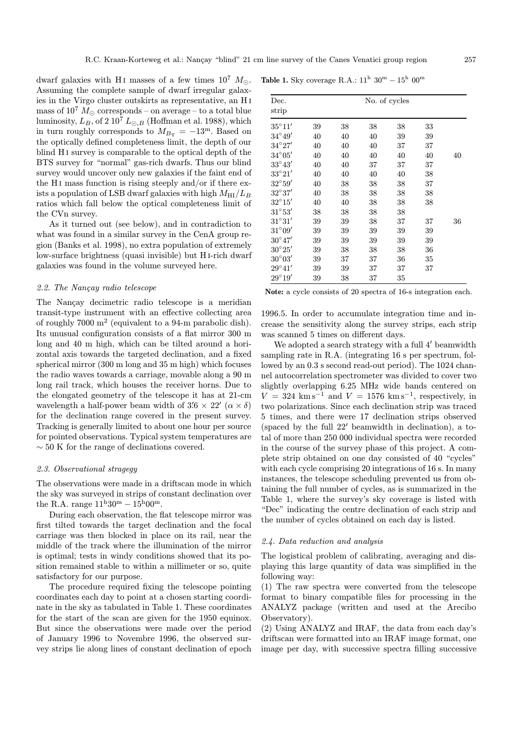dwarf galaxies with H<sub>I</sub> masses of a few times  $10^7$   $M_{\odot}$ . Assuming the complete sample of dwarf irregular galaxies in the Virgo cluster outskirts as representative, an H i mass of  $10^7 M_{\odot}$  corresponds – on average – to a total blue luminosity,  $L_B$ , of 2 10<sup>7</sup>  $L_{\odot,B}$  (Hoffman et al. 1988), which in turn roughly corresponds to  $M_{B_{\text{T}}} = -13^{\text{m}}$ . Based on the optically defined completeness limit, the depth of our blind H<sub>I</sub> survey is comparable to the optical depth of the BTS survey for "normal" gas-rich dwarfs. Thus our blind survey would uncover only new galaxies if the faint end of the H<sub>I</sub> mass function is rising steeply and/or if there exists a population of LSB dwarf galaxies with high  $M_{\rm HI}/L_B$ ratios which fall below the optical completeness limit of the CVn survey.

As it turned out (see below), and in contradiction to what was found in a similar survey in the CenA group region (Banks et al. 1998), no extra population of extremely low-surface brightness (quasi invisible) but H i-rich dwarf galaxies was found in the volume surveyed here.

#### 2.2. The Nançay radio telescope

The Nançay decimetric radio telescope is a meridian transit-type instrument with an effective collecting area of roughly 7000 m<sup>2</sup> (equivalent to a 94-m parabolic dish). Its unusual configuration consists of a flat mirror 300 m long and 40 m high, which can be tilted around a horizontal axis towards the targeted declination, and a fixed spherical mirror (300 m long and 35 m high) which focuses the radio waves towards a carriage, movable along a 90 m long rail track, which houses the receiver horns. Due to the elongated geometry of the telescope it has at 21-cm wavelength a half-power beam width of  $3'6 \times 22'$   $(\alpha \times \delta)$ for the declination range covered in the present survey. Tracking is generally limited to about one hour per source for pointed observations. Typical system temperatures are  $\sim$  50 K for the range of declinations covered.

#### 2.3. Observational stragegy

The observations were made in a driftscan mode in which the sky was surveyed in strips of constant declination over the R.A. range  $11^{\rm h}30^{\rm m} - 15^{\rm h}00^{\rm m}$ .

During each observation, the flat telescope mirror was first tilted towards the target declination and the focal carriage was then blocked in place on its rail, near the middle of the track where the illumination of the mirror is optimal; tests in windy conditions showed that its position remained stable to within a millimeter or so, quite satisfactory for our purpose.

The procedure required fixing the telescope pointing coordinates each day to point at a chosen starting coordinate in the sky as tabulated in Table 1. These coordinates for the start of the scan are given for the 1950 equinox. But since the observations were made over the period of January 1996 to Novembre 1996, the observed survey strips lie along lines of constant declination of epoch

|  |  | <b>Table 1.</b> Sky coverage R.A.: $11^{\text{h}}$ $30^{\text{m}} - 15^{\text{h}}$ $00^{\text{m}}$ |  |  |  |  |  |
|--|--|----------------------------------------------------------------------------------------------------|--|--|--|--|--|
|--|--|----------------------------------------------------------------------------------------------------|--|--|--|--|--|

| Dec.<br>strip   |    |    |    | No. of cycles |    |    |
|-----------------|----|----|----|---------------|----|----|
| $35^{\circ}11'$ | 39 | 38 | 38 | 38            | 33 |    |
| $34^{\circ}49'$ | 40 | 40 | 40 | 39            | 39 |    |
| $34^{\circ}27'$ | 40 | 40 | 40 | 37            | 37 |    |
| $34^{\circ}05'$ | 40 | 40 | 40 | 40            | 40 | 40 |
| $33^{\circ}43'$ | 40 | 40 | 37 | 37            | 37 |    |
| $33^{\circ}21'$ | 40 | 40 | 40 | 40            | 38 |    |
| $32^{\circ}59'$ | 40 | 38 | 38 | 38            | 37 |    |
| $32^\circ 37'$  | 40 | 38 | 38 | 38            | 38 |    |
| $32^{\circ}15'$ | 40 | 40 | 38 | 38            | 38 |    |
| $31^{\circ}53'$ | 38 | 38 | 38 | 38            |    |    |
| $31^{\circ}31'$ | 39 | 39 | 38 | 37            | 37 | 36 |
| $31^{\circ}09'$ | 39 | 39 | 39 | 39            | 39 |    |
| $30^{\circ}47'$ | 39 | 39 | 39 | 39            | 39 |    |
| $30^{\circ}25'$ | 39 | 38 | 38 | 38            | 36 |    |
| $30^{\circ}03'$ | 39 | 37 | 37 | 36            | 35 |    |
| $29^{\circ}41'$ | 39 | 39 | 37 | 37            | 37 |    |
| $29^{\circ}19'$ | 39 | 38 | 37 | 35            |    |    |

Note: a cycle consists of 20 spectra of 16-s integration each.

1996.5. In order to accumulate integration time and increase the sensitivity along the survey strips, each strip was scanned 5 times on different days.

We adopted a search strategy with a full  $4'$  beamwidth sampling rate in R.A. (integrating 16 s per spectrum, followed by an 0.3 s second read-out period). The 1024 channel autocorrelation spectrometer was divided to cover two slightly overlapping 6.25 MHz wide bands centered on  $V = 324$  km s<sup>-1</sup> and  $V = 1576$  km s<sup>-1</sup>, respectively, in two polarizations. Since each declination strip was traced 5 times, and there were 17 declination strips observed (spaced by the full  $22'$  beamwidth in declination), a total of more than 250 000 individual spectra were recorded in the course of the survey phase of this project. A complete strip obtained on one day consisted of 40 "cycles" with each cycle comprising 20 integrations of 16 s. In many instances, the telescope scheduling prevented us from obtaining the full number of cycles, as is summarized in the Table 1, where the survey's sky coverage is listed with "Dec" indicating the centre declination of each strip and the number of cycles obtained on each day is listed.

### 2.4. Data reduction and analysis

The logistical problem of calibrating, averaging and displaying this large quantity of data was simplified in the following way:

(1) The raw spectra were converted from the telescope format to binary compatible files for processing in the ANALYZ package (written and used at the Arecibo Observatory).

(2) Using ANALYZ and IRAF, the data from each day's driftscan were formatted into an IRAF image format, one image per day, with successive spectra filling successive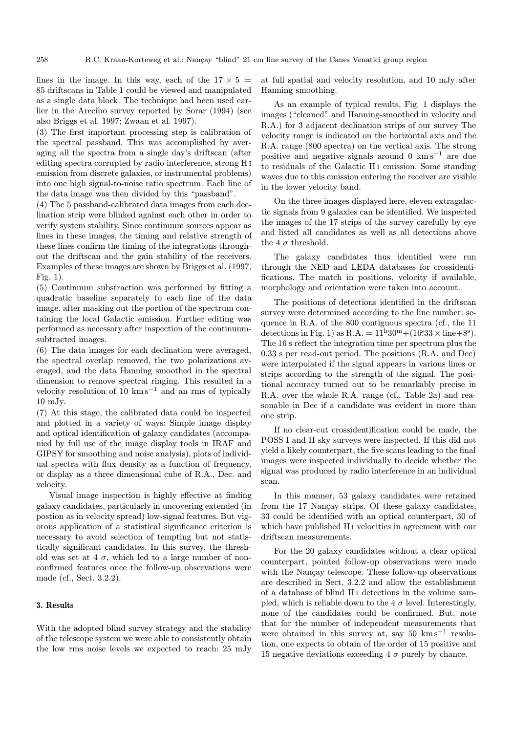lines in the image. In this way, each of the  $17 \times 5$  = 85 driftscans in Table 1 could be viewed and manipulated as a single data block. The technique had been used earlier in the Arecibo survey reported by Sorar (1994) (see also Briggs et al. 1997; Zwaan et al. 1997).

(3) The first important processing step is calibration of the spectral passband. This was accomplished by averaging all the spectra from a single day's driftscan (after editing spectra corrupted by radio interference, strong H i emission from discrete galaxies, or instrumental problems) into one high signal-to-noise ratio spectrum. Each line of the data image was then divided by this "passband".

(4) The 5 passband-calibrated data images from each declination strip were blinked against each other in order to verify system stability. Since continuum sources appear as lines in these images, the timing and relative strength of these lines confirm the timing of the integrations throughout the driftscan and the gain stability of the receivers. Examples of these images are shown by Briggs et al. (1997, Fig. 1).

(5) Continuum substraction was performed by fitting a quadratic baseline separately to each line of the data image, after masking out the portion of the spectrum containing the local Galactic emission. Further editing was performed as necessary after inspection of the continuumsubtracted images.

(6) The data images for each declination were averaged, the spectral overlap removed, the two polarizations averaged, and the data Hanning smoothed in the spectral dimension to remove spectral ringing. This resulted in a velocity resolution of 10 km s<sup>−</sup><sup>1</sup> and an rms of typically 10 mJy.

(7) At this stage, the calibrated data could be inspected and plotted in a variety of ways: Simple image display and optical identification of galaxy candidates (accompanied by full use of the image display tools in IRAF and GIPSY for smoothing and noise analysis), plots of individual spectra with flux density as a function of frequency, or display as a three dimensional cube of R.A., Dec. and velocity.

Visual image inspection is highly effective at finding galaxy candidates, particularly in uncovering extended (in postion as in velocity spread) low-signal features. But vigorous application of a statistical significance criterion is necessary to avoid selection of tempting but not statistically significant candidates. In this survey, the threshold was set at 4  $\sigma$ , which led to a large number of nonconfirmed features once the follow-up observations were made (cf., Sect. 3.2.2).

## 3. Results

With the adopted blind survey strategy and the stability of the telescope system we were able to consistently obtain the low rms noise levels we expected to reach: 25 mJy

at full spatial and velocity resolution, and 10 mJy after Hanning smoothing.

As an example of typical results, Fig. 1 displays the images ("cleaned" and Hanning-smoothed in velocity and R.A.) for 3 adjacent declination strips of our survey The velocity range is indicated on the horizontal axis and the R.A. range (800 spectra) on the vertical axis. The strong positive and negative signals around 0 km s<sup> $-1$ </sup> are due to residuals of the Galactic H<sub>I</sub> emission. Some standing waves due to this emission entering the receiver are visible in the lower velocity band.

On the three images displayed here, eleven extragalactic signals from 9 galaxies can be identified. We inspected the images of the 17 strips of the survey carefully by eye and listed all candidates as well as all detections above the 4  $\sigma$  threshold.

The galaxy candidates thus identified were run through the NED and LEDA databases for crossidentifications. The match in positions, velocity if available, morphology and orientation were taken into account.

The positions of detections identified in the driftscan survey were determined according to the line number: sequence in R.A. of the 800 contiguous spectra (cf., the 11 detections in Fig. 1) as R.A. =  $11^{\mathrm{h}}30^{\mathrm{m}} + (16^{\mathrm{s}}33 \times \text{line} + 8^{\mathrm{s}})$ . The 16 s reflect the integration time per spectrum plus the 0.33 s per read-out period. The positions (R.A. and Dec) were interpolated if the signal appears in various lines or strips according to the strength of the signal. The positional accuracy turned out to be remarkably precise in R.A. over the whole R.A. range (cf., Table 2a) and reasonable in Dec if a candidate was evident in more than one strip.

If no clear-cut crossidentification could be made, the POSS I and II sky surveys were inspected. If this did not yield a likely counterpart, the five scans leading to the final images were inspected individually to decide whether the signal was produced by radio interference in an individual scan.

In this manner, 53 galaxy candidates were retained from the 17 Nançay strips. Of these galaxy candidates, 33 could be identified with an optical counterpart, 30 of which have published H<sub>I</sub> velocities in agreement with our driftscan measurements.

For the 20 galaxy candidates without a clear optical counterpart, pointed follow-up observations were made with the Nançay telescope. These follow-up observations are described in Sect. 3.2.2 and allow the establishment of a database of blind H i detections in the volume sampled, which is reliable down to the 4  $\sigma$  level. Interestingly, none of the candidates could be confirmed. But, note that for the number of independent measurements that were obtained in this survey at, say  $50 \ \mathrm{km \, s^{-1}}$  resolution, one expects to obtain of the order of 15 positive and 15 negative deviations exceeding 4  $\sigma$  purely by chance.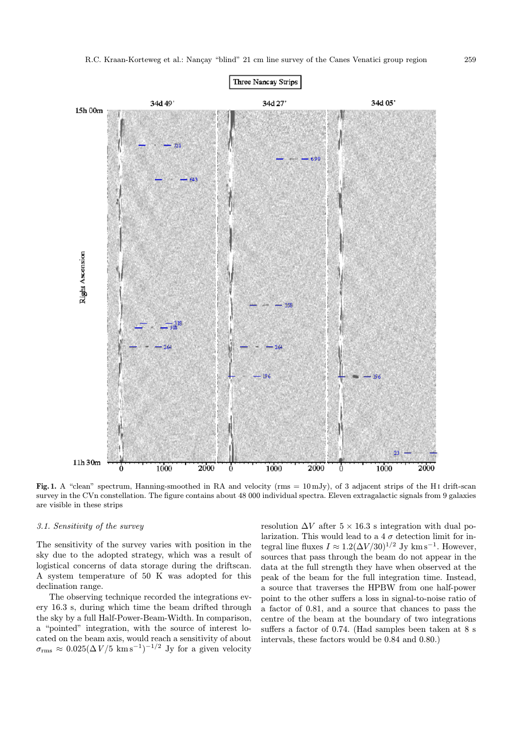

Fig. 1. A "clean" spectrum, Hanning-smoothed in RA and velocity ( $\text{rms} = 10 \text{ mJy}$ ), of 3 adjacent strips of the H<sub>I</sub> drift-scan survey in the CVn constellation. The figure contains about 48 000 individual spectra. Eleven extragalactic signals from 9 galaxies are visible in these strips

## 3.1. Sensitivity of the survey

The sensitivity of the survey varies with position in the sky due to the adopted strategy, which was a result of logistical concerns of data storage during the driftscan. A system temperature of 50 K was adopted for this declination range.

The observing technique recorded the integrations every 16.3 s, during which time the beam drifted through the sky by a full Half-Power-Beam-Width. In comparison, a "pointed" integration, with the source of interest located on the beam axis, would reach a sensitivity of about  $\sigma_{\rm rms} \approx 0.025 (\Delta V / 5 \text{ km s}^{-1})^{-1/2}$  Jy for a given velocity

resolution  $\Delta V$  after  $5 \times 16.3$  s integration with dual polarization. This would lead to a 4  $\sigma$  detection limit for integral line fluxes  $I \approx 1.2(\Delta V/30)^{1/2}$  Jy km s<sup>-1</sup>. However, sources that pass through the beam do not appear in the data at the full strength they have when observed at the peak of the beam for the full integration time. Instead, a source that traverses the HPBW from one half-power point to the other suffers a loss in signal-to-noise ratio of a factor of 0.81, and a source that chances to pass the centre of the beam at the boundary of two integrations suffers a factor of 0.74. (Had samples been taken at 8 s intervals, these factors would be 0.84 and 0.80.)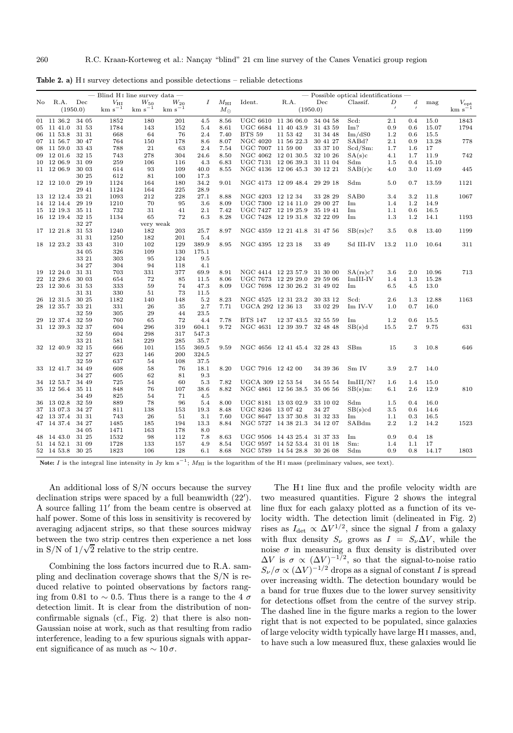| — Blind H <sub>I</sub> line survey data — |                  |          |              |             |             | $-$ Possible optical identifications $-$ |              |                     |                              |          |                    |          |                  |       |                    |
|-------------------------------------------|------------------|----------|--------------|-------------|-------------|------------------------------------------|--------------|---------------------|------------------------------|----------|--------------------|----------|------------------|-------|--------------------|
| No.                                       | R.A.             | Dec      | $V_{\rm HI}$ | $W_{50}$    | $W_{20}$    | $\boldsymbol{I}$                         | $M_{\rm HI}$ | Ident.              | R.A.                         | Dec      | Classif.           | D        | $\boldsymbol{d}$ | mag   | $V_{\mathrm{opt}}$ |
|                                           |                  | (1950.0) | $km s^{-1}$  | $km s^{-1}$ | $km s^{-1}$ |                                          | $M_{\odot}$  |                     |                              | (1950.0) |                    | $\prime$ | $\prime$         |       | $km s^{-1}$        |
|                                           | $01$ 11 36.2     | 34 05    | 1852         | 180         | 201         | 4.5                                      | 8.56         |                     | UGC 6610 11 36 06.0          | 34 04 58 | Scd:               | 2.1      | 0.4              | 15.0  | 1843               |
|                                           | 05 11 41.0       | 31 53    | 1784         | 143         | 152         | 5.4                                      | 8.61         |                     | UGC 6684 11 40 43.9          | 31 43 59 | Im?                | 0.9      | 0.6              | 15.07 | 1794               |
| 06                                        | 11 53.8          | 31 31    | 668          | 64          | 76          | 2.4                                      | 7.40         | <b>BTS 59</b>       | 11 53 42                     | 31 34 48 | Im/dS0             | $1.2\,$  | 0.6              | 15.5  |                    |
|                                           | 07 11 56.7       | 30 47    | 764          | 150         | 178         | 8.6                                      | 8.07         |                     | NGC 4020 11 56 22.3          | 30 41 27 | SAB <sub>d</sub> ? | $2.1\,$  | 0.9              | 13.28 | 778                |
|                                           | 08 11 59.0       | 33 43    | 788          | 21          | 63          | 2.4                                      | 7.54         | UGC 7007 11 59 00   |                              | 33 37 10 | $Scd/Sm$ :         | 1.7      | 1.6              | 17    |                    |
|                                           | 09 12 01.6       | 32 15    | 743          | 278         | 304         | 24.6                                     | 8.50         |                     | NGC 4062 12 01 30.5          | 32 10 26 | SA(s)c             | 4.1      | 1.7              | 11.9  | 742                |
|                                           | 10 12 06.9       | 31 09    | 259          | 106         | 116         | 4.3                                      | 6.83         |                     | UGC 7131 12 06 39.3          | 31 11 04 | Sdm                | 1.5      | 0.4              | 15.10 |                    |
|                                           | 11 12 06.9       | 30 03    | 614          | 93          | 109         | 40.0                                     | 8.55         |                     | NGC 4136 12 06 45.3          | 30 12 21 | SAB(r)c            | 4.0      | 3.0              | 11.69 | 445                |
|                                           |                  | 30 25    | 612          | 81          | 100         | 17.3                                     |              |                     |                              |          |                    |          |                  |       |                    |
|                                           | 12 12 10.0       | 29 19    | 1124         | 164         | 180         | 34.2                                     | 9.01         |                     | NGC 4173 12 09 48.4          | 29 29 18 | Sdm                | 5.0      | 0.7              | 13.59 | 1121               |
|                                           |                  | 29 41    | 1124         | 164         | 225         | 28.9                                     |              |                     |                              |          |                    |          |                  |       |                    |
|                                           | 13 12 12.4       | 33 21    | 1093         | 212         | 228         | 27.1                                     | 8.88         | NGC 4203 12 12 34   |                              | 33 28 29 | SAB0               | 3.4      | 3.2              | 11.8  | 1067               |
|                                           | 14 12 14.4       | 29 19    | 1210         | 70          | 95          | 3.6                                      | 8.09         |                     | UGC 7300 12 14 11.0          | 29 00 27 | Im                 | 1.4      | 1.2              | 14.9  |                    |
|                                           | 15 12 19.3       | 35 11    | 732          | 31          | 41          | 2.1                                      | 7.42         | UGC 7427 12 19 25.9 |                              | 35 19 41 | Im                 | 1.1      | 0.6              | 16.5  |                    |
|                                           | 16 12 19.4 32 15 |          | 1134         | 65          | 72          | 6.3                                      | 8.28         |                     | UGC 7428 12 19 31.8          | 32 22 09 | Im                 | 1.3      | 1.2              | 14.1  | 1193               |
|                                           |                  | 32 27    |              | very weak   |             |                                          |              |                     |                              |          |                    |          |                  |       |                    |
|                                           | 17 12 21.8       | 31 53    | 1240         | 182         | 203         | 25.7                                     | 8.97         |                     | NGC 4359 12 21 41.8          | 31 47 56 | SB(rs)c?           | 3.5      | 0.8              | 13.40 | 1199               |
|                                           |                  | 31 31    | 1250         | 182         | 201         | 5.4                                      |              |                     |                              |          |                    |          |                  |       |                    |
|                                           | 18 12 23.2       | 33 43    | 310          | 102         | 129         | 389.9                                    | 8.95         | NGC 4395 12 23 18   |                              | 33 49    | Sd III-IV          | 13.2     | 11.0             | 10.64 | 311                |
|                                           |                  | 34 05    | 326          | 109         | 130         | 175.1                                    |              |                     |                              |          |                    |          |                  |       |                    |
|                                           |                  | 33 21    | 303          | 95          | 124         | 9.5                                      |              |                     |                              |          |                    |          |                  |       |                    |
|                                           |                  | 34 27    | 304          | 94          | 118         | 4.1                                      |              |                     |                              |          |                    |          |                  |       |                    |
|                                           | 19 12 24.0       | 31 31    | 703          | 331         | 377         | 69.9                                     | 8.91         |                     | NGC 4414 12 23 57.9          | 31 30 00 | SA(rs)c?           | 3.6      | 2.0              | 10.96 | 713                |
| $^{22}$                                   | 12 29.6          | 30 03    | 654          | 72          | 85          | 11.5                                     | 8.06         | UGC 7673 12 29 29.0 |                              | 29 59 06 | ImIII-IV           | 1.4      | 1.3              | 15.28 |                    |
|                                           | 23 12 30.6       | 31 53    | 333          | 59          | 74          | 47.3                                     | 8.09         |                     | UGC 7698 12 30 26.2          | 31 49 02 | Im                 | 6.5      | 4.5              | 13.0  |                    |
|                                           |                  | 31 31    | 330          | 51          | 73          | 11.5                                     |              |                     |                              |          |                    |          |                  |       |                    |
|                                           | 26 12 31.5       | 30 25    | 1182         | 140         | 148         | 5.2                                      | 8.23         |                     | NGC 4525 12 31 23.2          | 30 33 12 | Scd:               | 2.6      | 1.3              | 12.88 | 1163               |
|                                           | 28 12 35.7       | 33 21    | 331          | 26          | 35          | 2.7                                      | 7.71         | UGCA 292 12 36 13   |                              | 33 02 29 | Im IV-V            | 1.0      | 0.7              | 16.0  |                    |
|                                           |                  | 32 59    | 305          | 29          | 44          | 23.5                                     |              |                     |                              |          |                    |          |                  |       |                    |
|                                           | 29 12 37.4       | 32 59    | 760          | 65          | 72          | 4.4                                      | 7.78         | <b>BTS 147</b>      | 12 37 43.5                   | 32 55 59 | Im                 | 1.2      | 0.6              | 15.5  |                    |
|                                           | 31 12 39.3       | 32 37    | 604          | 296         | 319         | 604.1                                    | 9.72         |                     | NGC 4631 12 39 39.7          | 32 48 48 | SB(s)d             | 15.5     | 2.7              | 9.75  | 631                |
|                                           |                  | 32 59    | 604          | 298         | 317         | 547.3                                    |              |                     |                              |          |                    |          |                  |       |                    |
|                                           |                  | 33 21    | 581          | 229         | 285         | 35.7                                     |              |                     |                              |          |                    |          |                  |       |                    |
|                                           | 32 12 40.9       | 32 15    | 666          | 101         | 155         | 369.5                                    | 9.59         |                     | NGC 4656 12 41 45.4 32 28 43 |          | SBm                | 15       | 3                | 10.8  | 646                |
|                                           |                  | 32 27    | 623          | 146         | 200         | 324.5                                    |              |                     |                              |          |                    |          |                  |       |                    |
|                                           |                  | 32 59    | 637          | 54          | 108         | 37.5                                     |              |                     |                              |          |                    |          |                  |       |                    |
|                                           | 33 12 41.7       | 34 49    | 608          | 58          | 76          | 18.1                                     | 8.20         | UGC 7916 12 42 00   |                              | 34 39 36 | Sm IV              | 3.9      | 2.7              | 14.0  |                    |
|                                           |                  | 34 27    | 605          | 62          | 81          | 9.3                                      |              |                     |                              |          |                    |          |                  |       |                    |
|                                           | 34 12 53.7       | 34 49    | 725          | 54          | 60          | 5.3                                      | 7.82         | UGCA 309 12 53 54   |                              | 34 55 54 | Im III/N?          | $1.6\,$  | 1.4              | 15.0  |                    |
|                                           | 35 12 56.4       | 35 11    | 848          | 76          | 107         | 38.6                                     | 8.82         |                     | NGC 4861 12 56 38.5          | 35 06 56 | $SB(s)m$ :         | 6.1      | 2.6              | 12.9  | 810                |
|                                           |                  | 34 49    | 825          | 54          | 71          | 4.5                                      |              |                     |                              |          |                    |          |                  |       |                    |
| 36                                        | 13 02.8          | 32 59    | 889          | 78          | 96          | 5.4                                      | 8.00         |                     | UGC 8181 13 03 02.9          | 33 10 02 | Sdm                | 1.5      | 0.4              | 16.0  |                    |
|                                           | 37 13 07.3       | 34 27    | 811          | 138         | 153         | 19.3                                     | 8.48         | UGC 8246 13 07 42   |                              | 34 27    | SB(s)cd            | 3.5      | 0.6              | 14.6  |                    |
| 42                                        | 13 37.4          | 31 31    | 743          | 26          | 51          | 3.1                                      | 7.60         | UGC 8647 13 37 30.8 |                              | 31 32 33 | Im                 | 1.1      | 0.3              | 16.5  |                    |
|                                           | 47 14 37.4       | 34 27    | 1485         | 185         | 194         | 13.3                                     | 8.84         |                     | NGC 5727 14 38 21.3          | 34 12 07 | SABdm              | 2.2      | 1.2              | 14.2  | 1523               |
|                                           |                  | 34 05    | 1471         | 163         | 178         | 8.0                                      |              |                     |                              |          |                    |          |                  |       |                    |
|                                           | 48 14 43.0       | 31 25    | 1532         | 98          | 112         | 7.8                                      | 8.63         |                     | UGC 9506 14 43 25.4          | 31 37 33 | Im                 | 0.9      | 0.4              | 18    |                    |
|                                           | 51 14 52.1       | 31 09    | 1728         | 133         | 157         | 4.9                                      | 8.54         |                     | UGC 9597 14 52 53.4          | 31 01 18 | Sm:                | 1.4      | 1.1              | 17    |                    |
|                                           | 52 14 53.8       | 30 25    | 1823         | 106         | 128         | 6.1                                      | 8.68         |                     | NGC 5789 14 54 28.8          | 30 26 08 | Sdm                | 0.9      | 0.8              | 14.17 | 1803               |

Note: I is the integral line intensity in Jy km s<sup>-1</sup>; M<sub>HI</sub> is the logarithm of the H<sub>I</sub> mass (preliminary values, see text).

An additional loss of S/N occurs because the survey declination strips were spaced by a full beamwidth  $(22')$ . A source falling  $11'$  from the beam centre is observed at half power. Some of this loss in sensitivity is recovered by averaging adjacent strips, so that these sources midway between the two strip centres then experience a net loss in S/N of  $1/\sqrt{2}$  relative to the strip centre.

Combining the loss factors incurred due to R.A. sampling and declination coverage shows that the S/N is reduced relative to pointed observations by factors ranging from 0.81 to ~ 0.5. Thus there is a range to the 4  $\sigma$ detection limit. It is clear from the distribution of nonconfirmable signals (cf., Fig. 2) that there is also non-Gaussian noise at work, such as that resulting from radio interference, leading to a few spurious signals with apparent significance of as much as  $\sim 10 \sigma$ .

The H<sub>I</sub> line flux and the profile velocity width are two measured quantities. Figure 2 shows the integral line flux for each galaxy plotted as a function of its velocity width. The detection limit (delineated in Fig. 2) rises as  $I_{\text{det}} \propto \Delta V^{1/2}$ , since the signal I from a galaxy with flux density  $S_{\nu}$  grows as  $I = S_{\nu} \Delta V$ , while the noise  $\sigma$  in measuring a flux density is distributed over  $\Delta V$  is  $\sigma \propto (\Delta V)^{-1/2}$ , so that the signal-to-noise ratio  $S_{\nu}/\sigma \propto (\Delta V)^{-1/2}$  drops as a signal of constant I is spread over increasing width. The detection boundary would be a band for true fluxes due to the lower survey sensitivity for detections offset from the centre of the survey strip. The dashed line in the figure marks a region to the lower right that is not expected to be populated, since galaxies of large velocity width typically have large H i masses, and, to have such a low measured flux, these galaxies would lie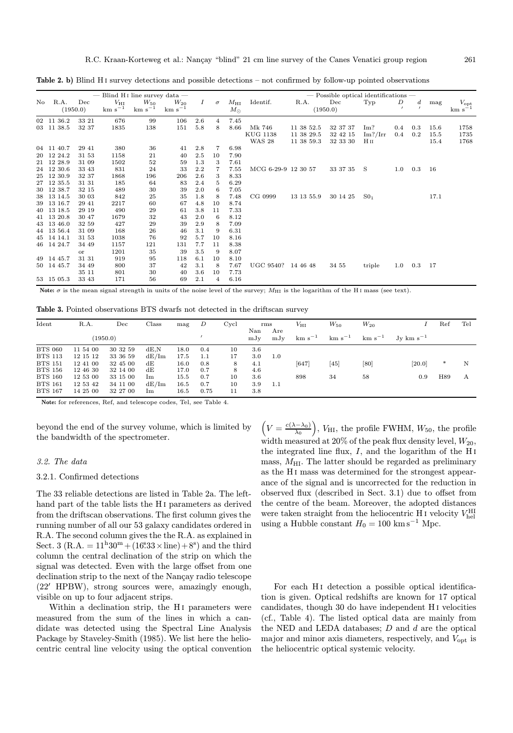|     |            |                 |                             | — Blind H <sub>I</sub> line survey data — |                         |                  |                | $-$ Possible optical identifications $-$ |                     |            |                 |                 |         |                  |      |                                   |
|-----|------------|-----------------|-----------------------------|-------------------------------------------|-------------------------|------------------|----------------|------------------------------------------|---------------------|------------|-----------------|-----------------|---------|------------------|------|-----------------------------------|
| No. | R.A.       | Dec<br>(1950.0) | $V_{\rm HI}$<br>$km s^{-1}$ | $W_{50}$<br>$km s^{-1}$                   | $W_{20}$<br>$km s^{-1}$ | $\boldsymbol{I}$ | $\sigma$       | $M_{\rm HI}$<br>$M_{\odot}$              | Identif.            | R.A.       | Dec<br>(1950.0) | Typ             | D       | $\boldsymbol{d}$ | mag  | $V_{\mathrm{opt}}$<br>$km s^{-1}$ |
|     | 02 11 36.2 | 33 21           | 676                         | 99                                        | 106                     | 2.6              | $\overline{4}$ | 7.45                                     |                     |            |                 |                 |         |                  |      |                                   |
|     | 03 11 38.5 | 32 37           | 1835                        | 138                                       | 151                     | 5.8              | 8              | 8.66                                     | Mk 746              | 11 38 52.5 | 32 37 37        | Im?             | $0.4\,$ | 0.3              | 15.6 | 1758                              |
|     |            |                 |                             |                                           |                         |                  |                |                                          | <b>KUG 1138</b>     | 11 38 29.5 | 32 42 15        | Im? / Irr       | 0.4     | 0.2              | 15.5 | 1735                              |
|     |            |                 |                             |                                           |                         |                  |                |                                          | <b>WAS 28</b>       | 11 38 59.3 | 32 33 30        | H <sub>II</sub> |         |                  | 15.4 | 1768                              |
|     | 04 11 40.7 | 29 41           | 380                         | 36                                        | 41                      | 2.8              | 7              | 6.98                                     |                     |            |                 |                 |         |                  |      |                                   |
|     | 20 12 24.2 | 31 53           | 1158                        | 21                                        | 40                      | 2.5              | 10             | 7.90                                     |                     |            |                 |                 |         |                  |      |                                   |
|     | 21 12 28.9 | 31 09           | 1502                        | 52                                        | 59                      | 1.3              | 3              | 7.61                                     |                     |            |                 |                 |         |                  |      |                                   |
|     | 24 12 30.6 | 33 43           | 831                         | 24                                        | 33                      | 2.2              | 7              | 7.55                                     | MCG 6-29-9 12 30 57 |            | 33 37 35        | - S             | 1.0     | 0.3              | -16  |                                   |
|     | 25 12 30.9 | 32 37           | 1868                        | 196                                       | 206                     | $2.6\,$          | 3              | 8.33                                     |                     |            |                 |                 |         |                  |      |                                   |
|     | 27 12 35.5 | 31 31           | 185                         | 64                                        | 83                      | 2.4              | 5              | 6.29                                     |                     |            |                 |                 |         |                  |      |                                   |
|     | 30 12 38.7 | 32 15           | 489                         | 30                                        | 39                      | 2.0              | 6              | 7.05                                     |                     |            |                 |                 |         |                  |      |                                   |
|     | 38 13 14.5 | 30 03           | 842                         | 25                                        | 35                      | 1.8              | 8              | 7.48                                     | CG 0999             | 13 13 55.9 | 30 14 25        | SO <sub>1</sub> |         |                  | 17.1 |                                   |
|     | 39 13 16.7 | 29 41           | 2217                        | 60                                        | 67                      | 4.8              | 10             | 8.74                                     |                     |            |                 |                 |         |                  |      |                                   |
|     | 40 13 18.5 | 29 19           | 490                         | 29                                        | 61                      | 3.8              | 11             | 7.33                                     |                     |            |                 |                 |         |                  |      |                                   |
|     | 41 13 20.8 | 30 47           | 1679                        | 32                                        | 43                      | 2.0              | 6              | 8.12                                     |                     |            |                 |                 |         |                  |      |                                   |
|     | 43 13 46.0 | 32 59           | 427                         | 29                                        | 39                      | 2.9              | 8              | 7.09                                     |                     |            |                 |                 |         |                  |      |                                   |
|     | 44 13 56.4 | 31 09           | 168                         | 26                                        | 46                      | 3.1              | 9              | 6.31                                     |                     |            |                 |                 |         |                  |      |                                   |
|     | 45 14 14.1 | 31 53           | 1038                        | 76                                        | 92                      | 5.7              | 10             | 8.16                                     |                     |            |                 |                 |         |                  |      |                                   |
|     | 46 14 24.7 | 34 49           | 1157                        | 121                                       | 131                     | 7.7              | 11             | 8.38                                     |                     |            |                 |                 |         |                  |      |                                   |
|     |            | or              | 1201                        | 35                                        | 39                      | 3.5              | 9              | 8.07                                     |                     |            |                 |                 |         |                  |      |                                   |
|     | 49 14 45.7 | 31 31           | 919                         | 95                                        | 118                     | 6.1              | 10             | 8.10                                     |                     |            |                 |                 |         |                  |      |                                   |
|     | 50 14 45.7 | 34 49           | 800                         | 37                                        | 42                      | 3.1              | 8              | 7.67                                     | UGC 9540? 14 46 48  |            | 34 55           | triple          | 1.0     | $0.3\,$          | 17   |                                   |
|     |            | 35 11           | 801                         | 30                                        | 40                      | 3.6              | 10             | 7.73                                     |                     |            |                 |                 |         |                  |      |                                   |
|     | 53 15 05.3 | 33 43           | 171                         | 56                                        | 69                      | 2.1              | 4              | 6.16                                     |                     |            |                 |                 |         |                  |      |                                   |

Table 2. b) Blind H<sub>I</sub> survey detections and possible detections – not confirmed by follow-up pointed observations

Note:  $\sigma$  is the mean signal strength in units of the noise level of the survey;  $M_{\text{HI}}$  is the logarithm of the HI mass (see text).

Table 3. Pointed observations BTS dwarfs not detected in the driftscan survey

| Ident          | R.A.     | Dec      | Class       | mag  | D    | Cycl | Nan | rms<br>Are | $V_{\rm HI}$ | $W_{50}$    | $W_{20}$    |                    | Ref | Tel |
|----------------|----------|----------|-------------|------|------|------|-----|------------|--------------|-------------|-------------|--------------------|-----|-----|
|                |          | (1950.0) |             |      |      |      | mJv | mJv        | $km s^{-1}$  | $km s^{-1}$ | $km s^{-1}$ | $Jv \ km \ s^{-1}$ |     |     |
| <b>BTS 060</b> | 11 54 00 | 30 32 59 | dE.N        | 18.0 | 0.4  | 10   | 3.6 |            |              |             |             |                    |     |     |
| <b>BTS 113</b> | 12 15 12 | 33 36 59 | dE/Im       | 17.5 | 1.1  | 17   | 3.0 | 1.0        |              |             |             |                    |     |     |
| <b>BTS 151</b> | 12 41 00 | 32 45 00 | dE          | 16.0 | 0.8  | 8    | 4.1 |            | [647]        | [45]        | [80]        | [20.0]             | ∗   | N   |
| <b>BTS 156</b> | 12 46 30 | 32 14 00 | dE          | 17.0 | 0.7  | 8    | 4.6 |            |              |             |             |                    |     |     |
| <b>BTS 160</b> | 12 53 00 | 33 15 00 | Im          | 15.5 | 0.7  | 10   | 3.6 |            | 898          | 34          | 58          | 0.9                | H89 | А   |
| <b>BTS 161</b> | 12 53 42 | 34 11 00 | dE/Im       | 16.5 | 0.7  | 10   | 3.9 | 1.1        |              |             |             |                    |     |     |
| <b>BTS 167</b> | 14 25 00 | 32 27 00 | $_{\rm lm}$ | 16.5 | 0.75 | 11   | 3.8 |            |              |             |             |                    |     |     |

Note: for references, Ref, and telescope codes, Tel, see Table 4.

beyond the end of the survey volume, which is limited by the bandwidth of the spectrometer.

# 3.2. The data

#### 3.2.1. Confirmed detections

The 33 reliable detections are listed in Table 2a. The lefthand part of the table lists the H<sub>I</sub> parameters as derived from the driftscan observations. The first column gives the running number of all our 53 galaxy candidates ordered in R.A. The second column gives the the R.A. as explained in Sect. 3 (R.A. =  $11^{\text{h}}30^{\text{m}} + (16^{\text{s}}33 \times \text{line}) + 8^{\text{s}}$ ) and the third column the central declination of the strip on which the signal was detected. Even with the large offset from one declination strip to the next of the Nancay radio telescope  $(22'$  HPBW), strong sources were, amazingly enough, visible on up to four adjacent strips.

Within a declination strip, the H<sub>I</sub> parameters were measured from the sum of the lines in which a candidate was detected using the Spectral Line Analysis Package by Staveley-Smith (1985). We list here the heliocentric central line velocity using the optical convention

 $\left(V=\frac{c(\lambda-\lambda_0)}{\lambda_0}\right)$ ),  $V_{\text{HI}}$ , the profile FWHM,  $W_{50}$ , the profile width measured at  $20\%$  of the peak flux density level,  $W_{20}$ , the integrated line flux,  $I$ , and the logarithm of the H<sub>I</sub> mass,  $M_{\rm HI}$ . The latter should be regarded as preliminary as the H i mass was determined for the strongest appearance of the signal and is uncorrected for the reduction in observed flux (described in Sect. 3.1) due to offset from the centre of the beam. Moreover, the adopted distances were taken straight from the heliocentric H  $\scriptstyle\rm I$  velocity  $V_{\rm hel}^{\rm HI}$ using a Hubble constant  $H_0 = 100 \text{ km s}^{-1} \text{ Mpc}.$ 

For each H<sub>I</sub> detection a possible optical identification is given. Optical redshifts are known for 17 optical candidates, though 30 do have independent H i velocities (cf., Table 4). The listed optical data are mainly from the NED and LEDA databases;  $D$  and  $d$  are the optical major and minor axis diameters, respectively, and  $V_{\text{opt}}$  is the heliocentric optical systemic velocity.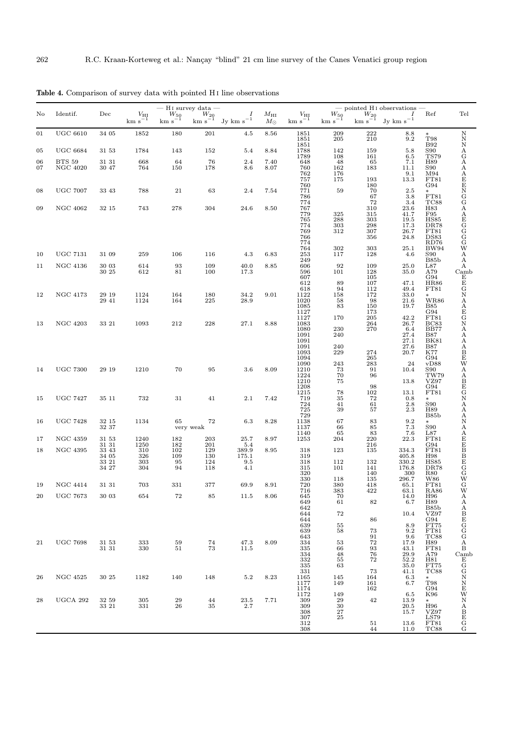|          |                                  |                                                   |                                             | $-$ H <sub>I</sub> survey data $-$ |                                         |                                           |                             |                                                                                                                                                                                         |                                                      |                                                            | $-$ pointed H <sub>I</sub> observations $-$                                          |                                                                   |                                                                                      |
|----------|----------------------------------|---------------------------------------------------|---------------------------------------------|------------------------------------|-----------------------------------------|-------------------------------------------|-----------------------------|-----------------------------------------------------------------------------------------------------------------------------------------------------------------------------------------|------------------------------------------------------|------------------------------------------------------------|--------------------------------------------------------------------------------------|-------------------------------------------------------------------|--------------------------------------------------------------------------------------|
| No       | Identif.                         | Dec                                               | $\frac{V_{\rm HI}}{\rm km~s^{-1}}$          | $W_{50}$<br>km s <sup>-1</sup>     | $\frac{W_{20}}{\mathrm{km~s}^{-1}}$     | ${\rm Jy~km~s}^{-1}$                      | $M_{\rm HI}$<br>$M_{\odot}$ | $\frac{V_{\rm HI}}{\rm km~s^{-1}}$                                                                                                                                                      | $\frac{W_{50}}{\mathrm{km~s}^{-1}}$                  |                                                            | $\frac{W_{20}}{\text{km s}^{-1}}$ Jy km s <sup>-1</sup>                              | Ref                                                               | Tel                                                                                  |
| 01       | <b>UGC 6610</b>                  | 34 05                                             | 1852                                        | 180                                | 201                                     | 4.5                                       | 8.56                        | 1851<br>1851<br>1851                                                                                                                                                                    | 209<br>205                                           | $\substack{222 \\ 210}$                                    | 8.8<br>9.2                                                                           | $_{\rm T98}^{*}$<br><b>B92</b>                                    |                                                                                      |
| 05       | <b>UGC 6684</b>                  | 31 53                                             | 1784                                        | 143                                | 152                                     | 5.4                                       | 8.84                        |                                                                                                                                                                                         | $142\,$                                              | 159<br>161                                                 | $5.8\,$<br>6.5                                                                       | $rac{S90}{TST9}$                                                  |                                                                                      |
| 06<br>07 | <b>BTS 59</b><br><b>NGC 4020</b> | $31\ 31$<br>30 47                                 | 668<br>764                                  | 64<br>150                          | 76<br>178                               | $2.4\,$<br>8.6                            | $7.40\,$<br>8.07            | 1788<br>1789<br>648<br>648<br>760                                                                                                                                                       | $\frac{108}{48}$<br>$\frac{48}{162}$                 | 65<br>183                                                  | 7.1<br>11.1                                                                          | H89<br>S90<br>M94<br>FT81<br>G94                                  |                                                                                      |
|          |                                  |                                                   |                                             |                                    |                                         |                                           |                             | 762<br>757                                                                                                                                                                              | $\frac{176}{175}$                                    |                                                            | $\begin{array}{c} 9.1 \\ 13.3 \end{array}$                                           |                                                                   |                                                                                      |
| 08       | <b>UGC 7007</b>                  | 33 43                                             | 788                                         | 21                                 | 63                                      | 2.4                                       | 7.54                        | 760<br>771                                                                                                                                                                              | $\bf 59$                                             | $\begin{array}{c} 193 \\ 180 \\ 70 \end{array}$<br>67      | $\begin{array}{c} 2.5 \\ 3.8 \end{array}$                                            | $\ast$<br>$_{\rm TC88}^{\rm FT81}$                                | NNNAGAAAEENGGAAEGGGGWAAA                                                             |
| 09       | <b>NGC 4062</b>                  | 32 15                                             | 743                                         | 278                                | 304                                     | 24.6                                      | 8.50                        | $786$<br>$774$<br>$767$<br>$779$                                                                                                                                                        |                                                      | $\frac{72}{310}$<br>315<br>303                             | 3.4                                                                                  | H83                                                               |                                                                                      |
|          |                                  |                                                   |                                             |                                    |                                         |                                           |                             | 765                                                                                                                                                                                     | $\begin{array}{c} 325 \\ 288 \end{array}$            |                                                            | $\begin{array}{c} 23.6 \\ 41.7 \\ 19.5 \end{array}$                                  | F95<br>F95<br>DR78<br>FT81<br>DS83<br>RD76<br>RD76                |                                                                                      |
|          |                                  |                                                   |                                             |                                    |                                         |                                           |                             | 774<br>769<br>766<br>774                                                                                                                                                                | $\frac{303}{312}$                                    | $\frac{298}{307}$<br>356                                   | $\frac{17.3}{26.7}$<br>24.8                                                          |                                                                   |                                                                                      |
|          |                                  |                                                   |                                             |                                    |                                         |                                           |                             | 764                                                                                                                                                                                     |                                                      | 303                                                        | 25.1                                                                                 | <b>BW94</b>                                                       |                                                                                      |
| 10       | <b>UGC 7131</b>                  | 31 09                                             | 259                                         | 106                                | 116                                     | 4.3                                       | 6.83                        | $\frac{253}{249}$                                                                                                                                                                       | $\begin{array}{c} 302 \\ 117 \end{array}$            | 128                                                        | 4.6                                                                                  | S90<br>B85b<br>L87                                                |                                                                                      |
| 11       | <b>NGC 4136</b>                  | 30 03<br>30 25                                    | 614<br>612                                  | 93<br>81                           | 109<br>100                              | 40.0<br>17.3                              | 8.85                        |                                                                                                                                                                                         | 92<br>101                                            | 109<br>$\begin{array}{c} 128 \\ 105 \end{array}$           | $25.0\,$<br>35.0                                                                     | $\frac{\textrm{A79}}{\textrm{G94}}$                               |                                                                                      |
|          |                                  |                                                   |                                             |                                    |                                         |                                           |                             | $\begin{array}{c} 596 \\ 607 \\ 612 \end{array}$                                                                                                                                        | 89                                                   | 107                                                        | 47.1                                                                                 | $_{\rm FT81}^{\rm HR86}$                                          |                                                                                      |
| 12       | NGC 4173                         | 29 19                                             | $\begin{array}{c} 1124 \\ 1124 \end{array}$ | 164                                | 180                                     | 34.2                                      | 9.01                        |                                                                                                                                                                                         | 94<br>158                                            | <sup>112</sup><br>172                                      | 49.4<br>33.0                                                                         |                                                                   |                                                                                      |
|          |                                  | 29 41                                             |                                             | 164                                | 225                                     | 28.9                                      |                             |                                                                                                                                                                                         | $58\,$<br>83                                         | $\frac{98}{150}$<br>$\frac{150}{173}$<br>$\frac{205}{150}$ | $21.6\,$<br>19.7                                                                     | $\rm W R86$<br>$\mathbf{B}85$                                     |                                                                                      |
| 13       | <b>NGC 4203</b>                  | 33 21                                             | 1093                                        | 212                                | 228                                     | 27.1                                      | 8.88                        |                                                                                                                                                                                         | 170                                                  | 264                                                        | $\substack{42.2 \\ 26.7}$                                                            | G94<br>FT81<br>BC83<br>BB77                                       |                                                                                      |
|          |                                  |                                                   |                                             |                                    |                                         |                                           |                             |                                                                                                                                                                                         | $\,230$<br>240                                       | 270                                                        | 6.4                                                                                  |                                                                   |                                                                                      |
|          |                                  |                                                   |                                             |                                    |                                         |                                           |                             |                                                                                                                                                                                         | 240                                                  |                                                            | $\underset{27.1}{27.4}$<br>27.6                                                      | $_{\rm BK81}^{\rm B87}$                                           |                                                                                      |
|          |                                  |                                                   |                                             |                                    |                                         |                                           |                             |                                                                                                                                                                                         | 229                                                  | $\bf 274$<br>${\bf 265}$                                   | 20.7                                                                                 | $_{\rm K77}^{\rm B87}$                                            |                                                                                      |
| 14       | <b>UGC 7300</b>                  | 29 19                                             | 1210                                        | 70                                 | 95                                      | 3.6                                       | 8.09                        |                                                                                                                                                                                         | $\begin{array}{c} 243 \\ 73 \\ 70 \\ 75 \end{array}$ | $\frac{283}{91}$                                           | 24<br>10.4                                                                           | G94<br>vD88<br>S90                                                |                                                                                      |
|          |                                  |                                                   |                                             |                                    |                                         |                                           |                             |                                                                                                                                                                                         |                                                      | 96<br>98                                                   | 13.8                                                                                 | TW79<br>VZ97<br>G94<br>FT81                                       |                                                                                      |
| 15       | <b>UGC 7427</b>                  | 35 11                                             | 732                                         | 31                                 | 41                                      | 2.1                                       | 7.42                        | $\begin{array}{c} 618 \\ 1122 \\ 1020 \\ 1085 \\ 1127 \\ 1083 \\ 1091 \\ 1091 \\ 1093 \\ 1094 \\ 1093 \\ 1094 \\ 1210 \\ 1224 \\ 1210 \\ 1215 \\ 712 \\ 724 \\ 729 \\ 1138 \end{array}$ | $_{35}^{78}\,$                                       | 102<br>72                                                  | $13.1\,$<br>0.8                                                                      | $*$                                                               | Camb E G N A A E G N A A A A A B E W A A A B E G N A A A A N A A E E B B B E G G W G |
|          |                                  |                                                   |                                             |                                    |                                         |                                           |                             |                                                                                                                                                                                         | $41\,$<br>39                                         | $\frac{61}{57}$                                            | 2.8<br>2.3                                                                           | ${\bf S90}$<br>H89                                                |                                                                                      |
| 16       | <b>UGC 7428</b>                  | 32 15                                             | 1134                                        | 65                                 | 72                                      | 6.3                                       | 8.28                        |                                                                                                                                                                                         | 67                                                   | 83                                                         | 9.2                                                                                  | B85b<br>$\ast$                                                    |                                                                                      |
|          |                                  | 32 37                                             |                                             |                                    | very weak                               |                                           |                             | 1137<br>1140                                                                                                                                                                            | 66<br>65                                             | 85<br>83                                                   | 7.3<br>$\substack{7.6 \\ 22.3}$                                                      | $_{\rm L87}^{\rm S90}$                                            |                                                                                      |
| 17       | <b>NGC 4359</b>                  | 31 53<br>31 31                                    | $\begin{array}{c} 1240 \\ 1250 \end{array}$ | $\substack{182\\182}$              | $\substack{203 \\ 201}$                 | $25.7\,$<br>-5.4                          | 8.97                        | 1253                                                                                                                                                                                    | 204                                                  | $\frac{220}{216}$                                          |                                                                                      | FT81<br>FT81<br>FT81<br>FT81<br>H98<br>HS85<br>DR78<br>R80<br>R90 |                                                                                      |
| 18       | <b>NGC 4395</b>                  | $\begin{array}{c} 33 \ 43 \\ 34 \ 05 \end{array}$ | $\frac{310}{326}$                           | $\frac{102}{109}$<br>95<br>94      | $\frac{129}{130}$                       | $\underset{175.1}{389.9}$                 | 8.95                        | 318<br>319                                                                                                                                                                              | 123                                                  | 135                                                        | $\begin{array}{c} 334.3 \\ 405.8 \\ 330.2 \\ 176.8 \\ 300 \\ \text{---} \end{array}$ |                                                                   |                                                                                      |
|          |                                  | $\begin{array}{c} 33 \ 21 \\ 34 \ 27 \end{array}$ | $\frac{303}{304}$                           |                                    | $\frac{124}{118}$                       | $\begin{array}{c} 9.5 \\ 4.1 \end{array}$ |                             | $\frac{318}{315}$<br>$320$                                                                                                                                                              | 112<br>101                                           | $\begin{array}{c} 132 \\ 141 \\ 140 \end{array}$           |                                                                                      |                                                                   |                                                                                      |
| 19       | NGC 4414                         | 31 31                                             | 703                                         | 331                                | 377                                     | 69.9                                      | 8.91                        | 330<br>720                                                                                                                                                                              | 118<br>380                                           | 135<br>418                                                 | 296.7<br>65.1                                                                        | $\frac{\widetilde{\text{W}}86}{\text{FT}81}$                      |                                                                                      |
| 20       | <b>UGC 7673</b>                  | 30 03                                             | 654                                         | 72                                 | 85                                      | 11.5                                      | 8.06                        |                                                                                                                                                                                         | $383\,$                                              | 422                                                        | $63.1\,$                                                                             | <b>RA86</b>                                                       | W                                                                                    |
|          |                                  |                                                   |                                             |                                    |                                         |                                           |                             | $716$<br>$645$<br>$649$<br>$642$                                                                                                                                                        | $\substack{70\\61}$                                  | 82                                                         | $\substack{14.0\\6.7}$                                                               | H96<br>H89<br>B85b<br>VZ97<br>G94                                 | AAABEGGGAB                                                                           |
|          |                                  |                                                   |                                             |                                    |                                         |                                           |                             | 644<br>644                                                                                                                                                                              | $\!\!72$                                             | 86                                                         | 10.4                                                                                 |                                                                   |                                                                                      |
|          |                                  |                                                   |                                             |                                    |                                         |                                           |                             | $\begin{array}{c} 639 \\ 639 \end{array}$                                                                                                                                               | $\begin{array}{c} 55 \\ 58 \end{array}$              | 73                                                         | $_{\rm 9.2}^{8.9}$                                                                   |                                                                   |                                                                                      |
| 21       | <b>UGC 7698</b>                  | 31 53                                             | 333                                         | 59                                 | $\substack{74 \\ 73}$                   | 47.3                                      | 8.09                        | $\frac{643}{334}$                                                                                                                                                                       | $53\,$                                               | $\begin{array}{c} 91 \\ 72 \end{array}$                    | $\begin{array}{c} 9.6 \\ 17.9 \end{array}$                                           | FT75<br>FT81<br>TC88<br>H89<br>FT81<br>A79                        |                                                                                      |
|          |                                  | 31 31                                             | 330                                         | 51                                 |                                         | 11.5                                      |                             | 335<br>334                                                                                                                                                                              | 66<br>$\overline{48}$                                | $\begin{array}{c} 93 \\ 76 \end{array}$<br>$\bf 72$        | $43.1$<br>$29.9$<br>$52.2$<br>$35.0$                                                 |                                                                   | $_{\rm Camb}$                                                                        |
|          |                                  |                                                   |                                             |                                    |                                         |                                           |                             |                                                                                                                                                                                         | 55<br>63                                             |                                                            | 41.1                                                                                 | H81<br>FT75<br>TC88                                               |                                                                                      |
| 26       | <b>NGC 4525</b>                  | 30 25                                             | 1182                                        | 140                                | 148                                     | 5.2                                       | 8.23                        | $332$<br>$335$<br>$331$<br>$1165$<br>$1177$                                                                                                                                             | $\begin{array}{c} 145 \\ 149 \end{array}$            | $\substack{73 \\ 164}$<br>161                              | $6.3$<br>$6.7$                                                                       | $\ast$<br>$_{\rm T98}$                                            |                                                                                      |
|          |                                  |                                                   |                                             |                                    |                                         |                                           |                             | $\begin{array}{c} 1174 \\ 1172 \end{array}$                                                                                                                                             | 149                                                  | 162                                                        | $6.5\,$                                                                              | G94<br>K96                                                        |                                                                                      |
| 28       | UGCA 292                         | $\begin{array}{c} 32 \ 59 \\ 33 \ 21 \end{array}$ | $\begin{array}{c} 305 \\ 331 \end{array}$   | $\substack{29 \\ 26}$              | $\begin{array}{c} 44 \\ 35 \end{array}$ | $\substack{23.5 \\ 2.7}$                  | 7.71                        | $\frac{309}{309}$                                                                                                                                                                       | $\frac{29}{30}$                                      | $42\,$                                                     | $\substack{13.9\\20.5}$                                                              |                                                                   |                                                                                      |
|          |                                  |                                                   |                                             |                                    |                                         |                                           |                             | 308<br>307                                                                                                                                                                              | $\frac{27}{25}$                                      |                                                            | 15.7                                                                                 | H96<br>VZ97<br>LS79<br>FT81<br>TC88                               | EGGNNEWABEGG                                                                         |
|          |                                  |                                                   |                                             |                                    |                                         |                                           |                             | 312<br>308                                                                                                                                                                              |                                                      | 51<br>44                                                   | $\begin{array}{c} 13.6 \\ 11.0 \end{array}$                                          |                                                                   |                                                                                      |

Table 4. Comparison of survey data with pointed H<sub>I</sub> line observations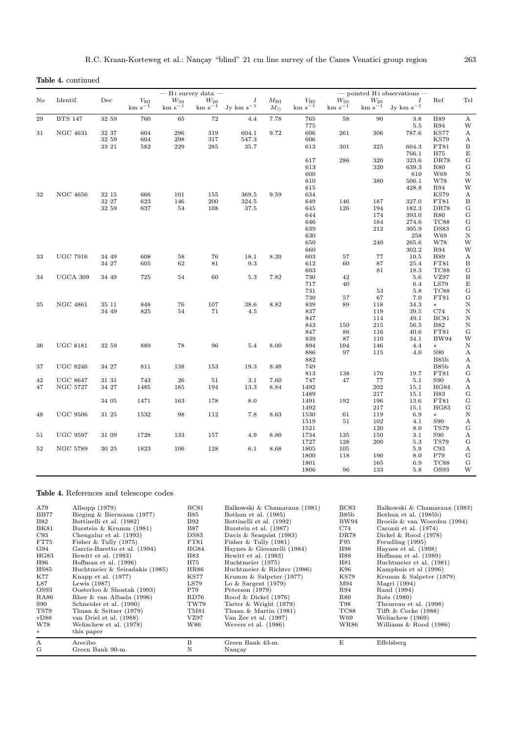Table 4. continued

|    | $-$ H <sub>I</sub> survey data $-$<br>$-$ pointed H <sub>I</sub> observations $-$ |           |                             |                                |                             |                                             |                             |                             |                         |                                  |                                             |                           |                                        |
|----|-----------------------------------------------------------------------------------|-----------|-----------------------------|--------------------------------|-----------------------------|---------------------------------------------|-----------------------------|-----------------------------|-------------------------|----------------------------------|---------------------------------------------|---------------------------|----------------------------------------|
| No | Identif.                                                                          | $\rm Dec$ | $V_{\rm HI}$<br>$km s^{-1}$ | $\mathcal{W}_{50}$<br>$km s-1$ | $W_{20}$<br>$\rm km~s^{-1}$ | $\boldsymbol{I}$<br>$Jv$ km s <sup>-1</sup> | $M_{\rm HI}$<br>$M_{\odot}$ | $V_{\rm HI}$<br>$km s^{-1}$ | $W_{50}$<br>$km s^{-1}$ | $$W_{20}\atop{ {\rm km~s}^{-1}}$ | $\boldsymbol{I}$<br>$Jy$ km s <sup>-1</sup> | Ref                       | Tel                                    |
| 29 | <b>BTS 147</b>                                                                    | 32 59     | 760                         | 65                             | 72                          | 4.4                                         | 7.78                        | 765                         | 58                      | 90                               | 3.8                                         | H89                       | A                                      |
|    |                                                                                   |           |                             |                                |                             |                                             |                             | 775                         |                         |                                  | $5.5\,$                                     | R94                       | W                                      |
| 31 | <b>NGC 4631</b>                                                                   | 32 37     | 604                         | 296                            | 319                         | 604.1                                       | 9.72                        | 606                         | 261                     | 306                              | 787.6                                       | <b>KS77</b>               | A                                      |
|    |                                                                                   | 32 59     | 604                         | 298                            | 317                         | 547.3                                       |                             | 606                         |                         |                                  |                                             | <b>KS79</b>               | А                                      |
|    |                                                                                   | 33 21     | 582                         | 229                            | 285                         | 35.7                                        |                             | 613                         | 301                     | 325                              | 604.3                                       | FT81                      | $\, {\bf B}$                           |
|    |                                                                                   |           |                             |                                |                             |                                             |                             |                             |                         |                                  | 766.1                                       | H75                       | $\mathbf E$                            |
|    |                                                                                   |           |                             |                                |                             |                                             |                             | 617                         | 286                     | 320                              | 323.6                                       | DR78                      | G                                      |
|    |                                                                                   |           |                             |                                |                             |                                             |                             | 613                         |                         | 320                              | 639.3                                       | <b>R80</b>                | G                                      |
|    |                                                                                   |           |                             |                                |                             |                                             |                             | 600                         |                         |                                  | 610                                         | W69                       | $\, {\rm N}$                           |
|    |                                                                                   |           |                             |                                |                             |                                             |                             | 610                         |                         | 380                              | 506.1                                       | W78                       | W                                      |
|    |                                                                                   |           |                             |                                |                             |                                             |                             | 615                         |                         |                                  | 428.8                                       | <b>R94</b>                | W                                      |
| 32 | <b>NGC 4656</b>                                                                   | 32 15     | 666                         | 101                            | 155                         | 369.5                                       | 9.59                        | 634                         |                         |                                  |                                             | <b>KS79</b>               | A                                      |
|    |                                                                                   | 32 27     | 623                         | 146                            | 200                         | 324.5                                       |                             | 649                         | 146                     | 187                              | 327.0                                       | FT81                      | $\boldsymbol{B}$                       |
|    |                                                                                   | 32 59     | 637                         | 54                             | 108                         | 37.5                                        |                             | 645                         | 126                     | 194                              | 182.3                                       | <b>DR78</b>               | $_{\rm G}^{\rm G}$                     |
|    |                                                                                   |           |                             |                                |                             |                                             |                             | 644                         |                         | 174                              | 393.0                                       | <b>R80</b>                |                                        |
|    |                                                                                   |           |                             |                                |                             |                                             |                             | 646<br>639                  |                         | 184                              | 274.6<br>305.9                              | TC88<br><b>DS83</b>       | $\mathbf G$                            |
|    |                                                                                   |           |                             |                                |                             |                                             |                             | 630                         |                         | 212                              | 258                                         | W69                       | G<br>$\mathbf N$                       |
|    |                                                                                   |           |                             |                                |                             |                                             |                             | 650                         |                         | 240                              | 265.6                                       | W78                       | W                                      |
|    |                                                                                   |           |                             |                                |                             |                                             |                             | 660                         |                         |                                  | 302.2                                       | <b>R94</b>                | W                                      |
| 33 | <b>UGC 7916</b>                                                                   | 34 49     | 608                         | 58                             | 76                          | 18.1                                        | 8.20                        | 603                         | 57                      | 77                               | 10.5                                        | H89                       | A                                      |
|    |                                                                                   | 34 27     | 605                         | 62                             | 81                          | 9.3                                         |                             | 612                         | 60                      | 87                               | 25.4                                        | FT81                      | B                                      |
|    |                                                                                   |           |                             |                                |                             |                                             |                             | 603                         |                         | 81                               | 18.3                                        | TC88                      | G                                      |
| 34 | UGCA 309                                                                          | 34 49     | 725                         | 54                             | 60                          | 5.3                                         | 7.82                        | 730                         | 42                      |                                  | 5.6                                         | VZ97                      | B                                      |
|    |                                                                                   |           |                             |                                |                             |                                             |                             | 717                         | 40                      |                                  | 6.4                                         | LS79                      | E                                      |
|    |                                                                                   |           |                             |                                |                             |                                             |                             | 731                         |                         | 53                               | 5.8                                         | TC88                      | $\mathbf G$                            |
|    |                                                                                   |           |                             |                                |                             |                                             |                             | 730                         | 57                      | 67                               | $7.0\,$                                     | FT81                      | $\mathbf G$                            |
| 35 | <b>NGC 4861</b>                                                                   | 35 11     | 848                         | 76                             | 107                         | 38.6                                        | 8.82                        | 839                         | 89                      | 118                              | 34.3                                        | $\ast$                    | $\mathbf N$                            |
|    |                                                                                   | 34 49     | 825                         | 54                             | 71                          | 4.5                                         |                             | 837                         |                         | 119                              | 39.5                                        | C74                       | $\mathbf N$                            |
|    |                                                                                   |           |                             |                                |                             |                                             |                             | 847                         |                         | 114                              | 49.1                                        | <b>BC81</b>               | $\mathbf N$                            |
|    |                                                                                   |           |                             |                                |                             |                                             |                             | 843                         | 150                     | 215                              | 56.5                                        | <b>B82</b>                | $\mathbf N$                            |
|    |                                                                                   |           |                             |                                |                             |                                             |                             | 847                         | 86                      | 116                              | 40.6                                        | FT81                      | ${\bf G}$                              |
|    |                                                                                   |           |                             |                                |                             |                                             |                             | 839                         | 87                      | 110                              | 34.1                                        | <b>BW94</b>               | W                                      |
| 36 | <b>UGC 8181</b>                                                                   | 32 59     | 889                         | 78                             | 96                          | 5.4                                         | 8.00                        | 894                         | 104                     | 146                              | 4.4                                         | $\ast$                    | $\mathbf N$                            |
|    |                                                                                   |           |                             |                                |                             |                                             |                             | 886                         | 97                      | 115                              | 4.0                                         | S90                       | А                                      |
|    |                                                                                   |           |                             |                                |                             |                                             |                             | 882                         |                         |                                  |                                             | B85b                      | А                                      |
| 37 | <b>UGC 8246</b>                                                                   | 34 27     | 811                         | 138                            | 153                         | 19.3                                        | 8.48                        | 749                         |                         |                                  |                                             | B85b                      | А                                      |
|    |                                                                                   |           |                             |                                |                             |                                             |                             | 813                         | 138                     | 170                              | 19.7                                        | FT81                      | G                                      |
| 42 | <b>UGC 8647</b>                                                                   | 31 31     | 743                         | 26                             | 51                          | 3.1                                         | 7.60                        | 747                         | 47                      | 77                               | 5.1                                         | S90                       | $\boldsymbol{\rm{A}}$                  |
| 47 | <b>NGC 5727</b>                                                                   | 34 27     | 1485                        | 185                            | 194                         | 13.3                                        | 8.84                        | 1492                        |                         | 202                              | 15.1                                        | <b>HG84</b>               | A                                      |
|    |                                                                                   |           |                             |                                |                             |                                             |                             | 1489                        |                         | 217                              | 15.1                                        | H83                       | G                                      |
|    |                                                                                   | 34 05     | 1471                        | 163                            | 178                         | 8.0                                         |                             | 1491                        | 192                     | 196                              | 13.6                                        | FT81                      | G                                      |
|    |                                                                                   |           |                             |                                |                             |                                             |                             | 1492                        |                         | 217                              | 15.1                                        | <b>HG83</b>               | $\mathbf G$                            |
| 48 | <b>UGC 9506</b>                                                                   | 31 25     | 1532                        | 98                             | 112                         | 7.8                                         | 8.63                        | 1530                        | 61                      | 119                              | 6.9                                         | $\ast$                    | $\mathbf N$                            |
|    |                                                                                   |           |                             |                                |                             |                                             |                             | 1519                        | 51                      | 102                              | 4.1                                         | <b>S90</b><br><b>TS79</b> | $\boldsymbol{\mathrm{A}}$<br>${\bf G}$ |
|    | <b>UGC 9597</b>                                                                   | 31 09     |                             |                                |                             | 4.9                                         | 8.80                        | 1521                        |                         | 120<br>150                       | 8.0                                         |                           |                                        |
| 51 |                                                                                   |           | 1728                        | 133                            | 157                         |                                             |                             | 1734<br>1727                | 135<br>128              | 200                              | 3.1                                         | S90<br><b>TS79</b>        | Α<br>G                                 |
| 52 | NGC 5789                                                                          | 30 25     | 1823                        | 106                            | 128                         | 6.1                                         | 8.68                        | 1805                        | 105                     |                                  | 5.3<br>5.9                                  | C93                       | $\mathbf A$                            |
|    |                                                                                   |           |                             |                                |                             |                                             |                             | 1800                        | 118                     | 190                              | 8.0                                         | P79                       | ${\bf G}$                              |
|    |                                                                                   |           |                             |                                |                             |                                             |                             | 1801                        |                         | 165                              | 6.9                                         | <b>TC88</b>               | $\mathbf G$                            |
|    |                                                                                   |           |                             |                                |                             |                                             |                             | 1806                        | 96                      | 133                              | 5.8                                         | OS93                      | W                                      |
|    |                                                                                   |           |                             |                                |                             |                                             |                             |                             |                         |                                  |                                             |                           |                                        |

# Table 4. References and telescope codes

| A79          | Allsopp $(1979)$               | <b>BC81</b> | Balkowski & Chamaraux (1981) | <b>BC83</b> | Balkowski & Chamaraux (1983)  |
|--------------|--------------------------------|-------------|------------------------------|-------------|-------------------------------|
| <b>BB77</b>  | Bieging $& Bierman (1977)$     | B85         | Bothun et al. (1985)         | B85b        | Bothun et al. (1985b)         |
| B82          | Bottinelli et al. (1982)       | B92         | Bottinelli et al. (1992)     | BW94        | Broeils & van Woerden (1994)  |
| <b>BK81</b>  | Burstein & Krumm (1981)        | B87         | Burstein et al. (1987)       | C74         | Carozzi et al. (1974)         |
| C93          | Chengalur et al. (1993)        | DS83        | Davis & Seaguist $(1983)$    | DR78        | Dickel $& \text{Root} (1978)$ |
| FT75         | Fisher $&$ Tully $(1975)$      | FT81        | Fisher $&$ Tully $(1981)$    | F95         | Freudling (1995)              |
| G94          | Garcia-Baretto et al. (1994)   | HG84        | Haynes & Giovanelli (1984)   | H98         | Haynes et al. (1998)          |
| HG83         | Hewitt et al. $(1983)$         | H83         | Hewitt et al. $(1983)$       | H89         | Hoffman et al. $(1989)$       |
| H96          | Hoffman et al. $(1996)$        | H75         | Huchtmeier (1975)            | H81         | Huchtmeier et al. (1981)      |
| <b>HS85</b>  | Huchtmeier & Seiradakis (1985) | HR86        | Huchtmeier & Richter (1986)  | K96         | Kamphuis et al (1996)         |
| K77          | Knapp et al. $(1977)$          | KS77        | Krumm $&$ Salpeter (1977)    | <b>KS79</b> | Krumm $&$ Salpeter (1979)     |
| L87          | Lewis $(1987)$                 | LST9        | Lo $&$ Sargent $(1979)$      | M94         | Magri (1994)                  |
| OS93         | Oosterloo $&$ Shostak (1993)   | P79         | Peterson (1979)              | R94         | Rand (1994)                   |
| RA86         | Rhee $&$ van Albada (1996)     | RD76        | Rood $&$ Dickel $(1976)$     | R80         | Rots (1980)                   |
| S90          | Schneider et al. (1990)        | <b>TW79</b> | Tarter $&$ Wright $(1979)$   | T98         | Theureau et al. (1998)        |
| <b>TS79</b>  | Thuan $&$ Seitzer (1979)       | TM81        | Thuan $& Martin(1981)$       | TC88        | Tifft $& Cocke (1988)$        |
| vD88         | van Driel et al. (1988)        | VZ97        | Van Zee et al. $(1997)$      | W69         | Weliachew (1969)              |
| W78          | Weliachew et al. (1978)        | W86         | Wevers et al. $(1986)$       | WR86        | Williams $& Rood (1986)$      |
| $\ast$       | this paper                     |             |                              |             |                               |
| $\mathbf{A}$ | Arecibo                        | В           | Green Bank 43-m.             | Е           | Effelsberg                    |
| G            | Green Bank 90-m.               | N           | Nançay                       |             |                               |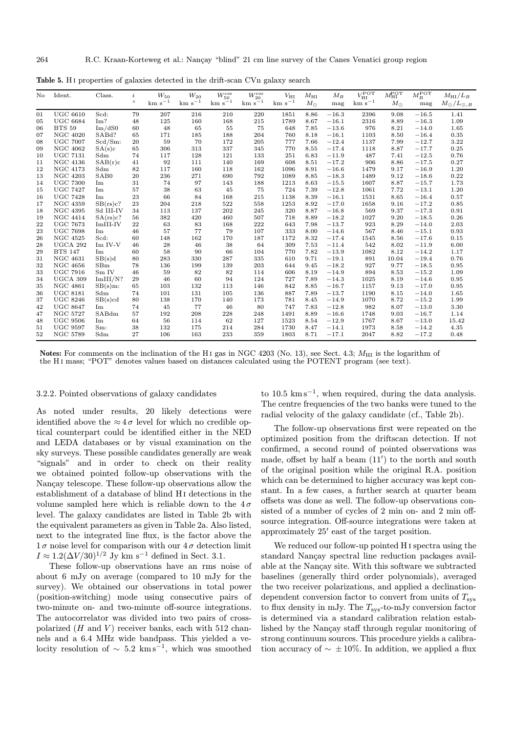| No. | Ident.          | Class.            | i       | $W_{50}$           | $W_{20}$          | $W_{50}^{\rm cor}$ | $W_{20}^{\rm cor}$ | $V_{\rm HI}$      | $M_{\rm HI}$ | $M_B$   | $V_{\rm HI}^{\rm POT}$ | $M_{\rm HI}^{\rm POT}$ | $M_{B}^{\rm POT}$ | $M_{\rm HI}/L_B$      |
|-----|-----------------|-------------------|---------|--------------------|-------------------|--------------------|--------------------|-------------------|--------------|---------|------------------------|------------------------|-------------------|-----------------------|
|     |                 |                   | $\circ$ | ${\rm km\ s}^{-1}$ | ${\rm km~s^{-1}}$ | $km s^{-1}$        | $km s^{-1}$        | ${\rm km~s}^{-1}$ | $M_{\odot}$  | mag     | $\rm km~s^{-1}$        | $M_{\odot}$            | mag               | $M_\odot/L_{\odot,B}$ |
| 01  | <b>UGC 6610</b> | Scd:              | 79      | 207                | 216               | 210                | 220                | 1851              | 8.86         | $-16.3$ | 2396                   | 9.08                   | $-16.5$           | 1.41                  |
| 05  | <b>UGC 6684</b> | Im?               | 48      | 125                | 160               | 168                | 215                | 1789              | 8.67         | $-16.1$ | 2316                   | 8.89                   | $-16.3$           | 1.09                  |
| 06  | <b>BTS 59</b>   | Im/dS0            | 60      | 48                 | 65                | 55                 | 75                 | 648               | 7.85         | $-13.6$ | 976                    | 8.21                   | $-14.0$           | 1.65                  |
| 07  | <b>NGC 4020</b> | SAB <sub>d?</sub> | 65      | 171                | 185               | 188                | 204                | 760               | 8.18         | $-16.1$ | 1103                   | 8.50                   | $-16.4$           | 0.35                  |
| 08  | <b>UGC 7007</b> | $Scd/Sm$ :        | 20      | 59                 | 70                | 172                | 205                | 777               | 7.66         | $-12.4$ | 1137                   | 7.99                   | $-12.7$           | 3.22                  |
| 09  | <b>NGC 4062</b> | SA(s)c            | 65      | 306                | 313               | 337                | 345                | 770               | 8.55         | $-17.4$ | 1118                   | 8.87                   | $-17.7$           | 0.25                  |
| 10  | <b>UGC 7131</b> | Sdm               | 74      | 117                | 128               | 121                | 133                | 251               | 6.83         | $-11.9$ | 487                    | 7.41                   | $-12.5$           | 0.76                  |
| 11  | <b>NGC 4136</b> | SAB(r)c           | 41      | 92                 | 111               | 140                | 169                | 608               | 8.51         | $-17.2$ | 906                    | 8.86                   | $-17.5$           | 0.27                  |
| 12  | <b>NGC 4173</b> | Sdm               | 82      | 117                | 160               | 118                | 162                | 1096              | 8.91         | $-16.6$ | 1479                   | 9.17                   | $-16.9$           | 1.20                  |
| 13  | <b>NGC 4203</b> | SAB <sub>0</sub>  | 20      | 236                | 271               | 690                | 792                | 1089              | 8.85         | $-18.3$ | 1489                   | 9.12                   | $-18.6$           | 0.22                  |
| 14  | <b>UGC 7300</b> | Im                | 31      | 74                 | 97                | 143                | 188                | 1213              | 8.63         | $-15.5$ | 1607                   | 8.87                   | $-15.7$           | 1.73                  |
| 15  | <b>UGC 7427</b> | Im                | 57      | 38                 | 63                | 45                 | 75                 | 724               | 7.39         | $-12.8$ | 1061                   | 7.72                   | $-13.1$           | 1.20                  |
| 16  | <b>UGC 7428</b> | Im                | 23      | 66                 | 84                | 168                | 215                | 1138              | 8.39         | $-16.1$ | 1531                   | 8.65                   | $-16.4$           | 0.57                  |
| 17  | <b>NGC 4359</b> | SB(rs)c?          | 23      | 204                | 218               | 522                | 558                | 1253              | 8.92         | $-17.0$ | 1658                   | 9.16                   | $-17.2$           | 0.85                  |
| 18  | <b>NGC 4395</b> | Sd III-IV         | 34      | 113                | 137               | 202                | 245                | 320               | 8.87         | $-16.8$ | 569                    | 9.37                   | $-17.3$           | 0.91                  |
| 19  | <b>NGC 4414</b> | SA(rs)c?          | 56      | 382                | 420               | 460                | 507                | 718               | 8.89         | $-18.2$ | 1027                   | 9.20                   | $-18.5$           | 0.26                  |
| 22  | <b>UGC 7673</b> | ImIII-IV          | 22      | 63                 | 83                | 168                | 222                | 643               | 7.98         | $-13.7$ | 923                    | 8.29                   | $-14.0$           | 2.03                  |
| 23  | <b>UGC 7698</b> | Im                | 46      | 57                 | 77                | 79                 | 107                | 333               | 8.00         | $-14.6$ | 567                    | 8.46                   | $-15.1$           | 0.93                  |
| 26  | <b>NGC 4525</b> | Scd:              | 60      | 148                | 162               | 170                | 187                | 1172              | 8.32         | $-17.4$ | 1545                   | 8.56                   | $-17.6$           | 0.15                  |
| 28  | UGCA 292        | Im IV-V           | 46      | 28                 | 46                | 38                 | 64                 | 309               | 7.53         | $-11.4$ | 542                    | 8.02                   | $-11.9$           | 6.00                  |
| 29  | <b>BTS 147</b>  | Im                | 60      | 58                 | 90                | 66                 | 104                | 770               | 7.82         | $-13.9$ | 1082                   | 8.12                   | $-14.2$           | 1.17                  |
| 31  | <b>NGC 4631</b> | SB(s)d            | 80      | 283                | 330               | 287                | 335                | 610               | 9.71         | $-19.1$ | 891                    | 10.04                  | $-19.4$           | 0.76                  |
| 32  | <b>NGC 4656</b> | SBm               | 78      | 136                | 199               | 139                | 203                | 644               | 9.45         | $-18.2$ | 927                    | 9.77                   | $-18.5$           | 0.95                  |
| 33  | <b>UGC 7916</b> | Sm IV             | 46      | 59                 | 82                | 82                 | 114                | 606               | 8.19         | $-14.9$ | 894                    | 8.53                   | $-15.2$           | 1.09                  |
| 34  | UGCA 309        | Im III/N?         | 29      | 46                 | 60                | 94                 | 124                | 727               | 7.89         | $-14.3$ | 1025                   | 8.19                   | $-14.6$           | 0.95                  |
| 35  | <b>NGC 4861</b> | $SB(s)m$ :        | 65      | 103                | 132               | 113                | 146                | 842               | 8.85         | $-16.7$ | 1157                   | 9.13                   | $-17.0$           | 0.95                  |
| 36  | <b>UGC 8181</b> | Sdm               | 74      | 101                | 131               | 105                | 136                | 887               | 7.89         | $-13.7$ | 1190                   | 8.15                   | $-14.0$           | 1.65                  |
| 37  | <b>UGC 8246</b> | SB(s)cd           | 80      | 138                | 170               | 140                | 173                | 781               | 8.45         | $-14.9$ | 1070                   | 8.72                   | $-15.2$           | 1.99                  |
| 42  | <b>UGC 8647</b> | Im                | 74      | 45                 | 77                | 46                 | 80                 | 747               | 7.83         | $-12.8$ | 982                    | 8.07                   | $-13.0$           | 3.30                  |
| 47  | <b>NGC 5727</b> | SABdm             | 57      | 192                | 208               | 228                | 248                | 1491              | 8.89         | $-16.6$ | 1748                   | 9.03                   | $-16.7$           | 1.14                  |
| 48  | <b>UGC 9506</b> | Im                | 64      | 56                 | 114               | 62                 | 127                | 1523              | 8.54         | $-12.9$ | 1767                   | 8.67                   | $-13.0$           | 15.42                 |
| 51  | <b>UGC 9597</b> | Sm:               | 38      | 132                | 175               | 214                | 284                | 1730              | 8.47         | $-14.1$ | 1973                   | 8.58                   | $-14.2$           | 4.35                  |
| 52  | <b>NGC 5789</b> | Sdm               | 27      | 106                | 163               | 233                | 359                | 1803              | 8.71         | $-17.1$ | 2047                   | 8.82                   | $-17.2$           | 0.48                  |

Table 5. H<sub>I</sub> properties of galaxies detected in the drift-scan CVn galaxy search

Notes: For comments on the inclination of the H<sub>I</sub> gas in NGC 4203 (No. 13), see Sect. 4.3;  $M_{\text{HI}}$  is the logarithm of the H i mass; "POT" denotes values based on distances calculated using the POTENT program (see text).

# 3.2.2. Pointed observations of galaxy candidates

As noted under results, 20 likely detections were identified above the  $\approx 4 \sigma$  level for which no credible optical counterpart could be identified either in the NED and LEDA databases or by visual examination on the sky surveys. These possible candidates generally are weak "signals" and in order to check on their reality we obtained pointed follow-up observations with the Nançay telescope. These follow-up observations allow the establishment of a database of blind Hi detections in the volume sampled here which is reliable down to the  $4\sigma$ level. The galaxy candidates are listed in Table 2b with the equivalent parameters as given in Table 2a. Also listed, next to the integrated line flux, is the factor above the  $1\sigma$  noise level for comparison with our  $4\sigma$  detection limit  $I \approx 1.2(\Delta V/30)^{1/2}$  Jy km s<sup>-1</sup> defined in Sect. 3.1.

These follow-up observations have an rms noise of about 6 mJy on average (compared to 10 mJy for the survey). We obtained our observations in total power (position-switching) mode using consecutive pairs of two-minute on- and two-minute off-source integrations. The autocorrelator was divided into two pairs of crosspolarized  $(H \text{ and } V)$  receiver banks, each with 512 channels and a 6.4 MHz wide bandpass. This yielded a velocity resolution of  $\sim 5.2 \text{ km s}^{-1}$ , which was smoothed

to 10.5  $\mathrm{km s}^{-1}$ , when required, during the data analysis. The centre frequencies of the two banks were tuned to the radial velocity of the galaxy candidate (cf., Table 2b).

The follow-up observations first were repeated on the optimized position from the driftscan detection. If not confirmed, a second round of pointed observations was made, offset by half a beam  $(11')$  to the north and south of the original position while the original R.A. position which can be determined to higher accuracy was kept constant. In a few cases, a further search at quarter beam offsets was done as well. The follow-up observations consisted of a number of cycles of 2 min on- and 2 min offsource integration. Off-source integrations were taken at approximately  $25'$  east of the target position.

We reduced our follow-up pointed H i spectra using the standard Nançay spectral line reduction packages available at the Nançay site. With this software we subtracted baselines (generally third order polynomials), averaged the two receiver polarizations, and applied a declinationdependent conversion factor to convert from units of  $T_{\text{sys}}$ to flux density in mJy. The  $T_{\rm sys}$ -to-mJy conversion factor is determined via a standard calibration relation established by the Nançay staff through regular monitoring of strong continuum sources. This procedure yields a calibration accuracy of  $\sim \pm 10\%$ . In addition, we applied a flux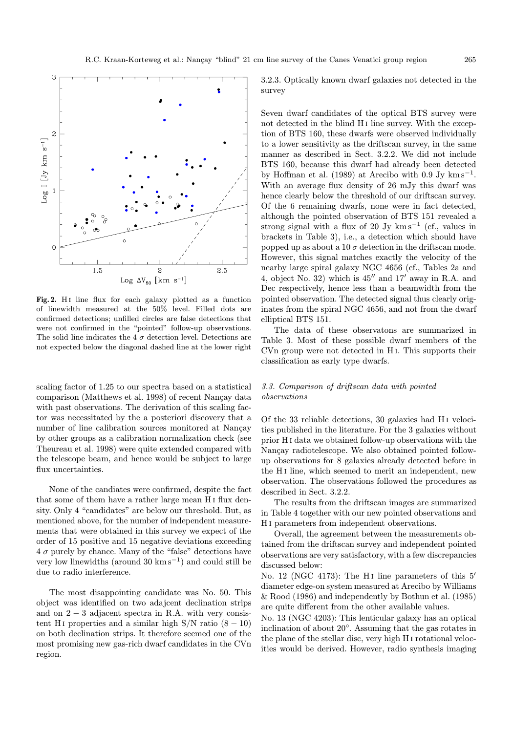

Fig. 2. HI line flux for each galaxy plotted as a function of linewidth measured at the 50% level. Filled dots are confirmed detections; unfilled circles are false detections that were not confirmed in the "pointed" follow-up observations. The solid line indicates the 4  $\sigma$  detection level. Detections are not expected below the diagonal dashed line at the lower right

scaling factor of 1.25 to our spectra based on a statistical comparison (Matthews et al. 1998) of recent Nançay data with past observations. The derivation of this scaling factor was necessitated by the a posteriori discovery that a number of line calibration sources monitored at Nançay by other groups as a calibration normalization check (see Theureau et al. 1998) were quite extended compared with the telescope beam, and hence would be subject to large flux uncertainties.

None of the candiates were confirmed, despite the fact that some of them have a rather large mean H i flux density. Only 4 "candidates" are below our threshold. But, as mentioned above, for the number of independent measurements that were obtained in this survey we expect of the order of 15 positive and 15 negative deviations exceeding  $4\sigma$  purely by chance. Many of the "false" detections have very low linewidths (around 30 km s<sup>-1</sup>) and could still be due to radio interference.

The most disappointing candidate was No. 50. This object was identified on two adajcent declination strips and on  $2 - 3$  adjacent spectra in R.A. with very consistent H<sub>I</sub> properties and a similar high S/N ratio  $(8 - 10)$ on both declination strips. It therefore seemed one of the most promising new gas-rich dwarf candidates in the CVn region.

3.2.3. Optically known dwarf galaxies not detected in the survey

Seven dwarf candidates of the optical BTS survey were not detected in the blind H<sub>I</sub> line survey. With the exception of BTS 160, these dwarfs were observed individually to a lower sensitivity as the driftscan survey, in the same manner as described in Sect. 3.2.2. We did not include BTS 160, because this dwarf had already been detected by Hoffman et al. (1989) at Arecibo with 0.9 Jy  $km s^{-1}$ . With an average flux density of 26 mJy this dwarf was hence clearly below the threshold of our driftscan survey. Of the 6 remaining dwarfs, none were in fact detected, although the pointed observation of BTS 151 revealed a strong signal with a flux of 20 Jy  $km s^{-1}$  (cf., values in brackets in Table 3), i.e., a detection which should have popped up as about a 10  $\sigma$  detection in the driftscan mode. However, this signal matches exactly the velocity of the nearby large spiral galaxy NGC 4656 (cf., Tables 2a and 4, object No. 32) which is  $45^{\prime\prime}$  and  $17^{\prime}$  away in R.A. and Dec respectively, hence less than a beamwidth from the pointed observation. The detected signal thus clearly originates from the spiral NGC 4656, and not from the dwarf elliptical BTS 151.

The data of these observatons are summarized in Table 3. Most of these possible dwarf members of the CVn group were not detected in H i. This supports their classification as early type dwarfs.

# 3.3. Comparison of driftscan data with pointed observations

Of the 33 reliable detections, 30 galaxies had H<sub>I</sub> velocities published in the literature. For the 3 galaxies without prior H i data we obtained follow-up observations with the Nançay radiotelescope. We also obtained pointed followup observations for 8 galaxies already detected before in the H<sub>I</sub> line, which seemed to merit an independent, new observation. The observations followed the procedures as described in Sect. 3.2.2.

The results from the driftscan images are summarized in Table 4 together with our new pointed observations and H i parameters from independent observations.

Overall, the agreement between the measurements obtained from the driftscan survey and independent pointed observations are very satisfactory, with a few discrepancies discussed below:

No. 12 (NGC 4173): The H<sub>I</sub> line parameters of this  $5'$ diameter edge-on system measured at Arecibo by Williams & Rood (1986) and independently by Bothun et al. (1985) are quite different from the other available values.

No. 13 (NGC 4203): This lenticular galaxy has an optical inclination of about 20◦. Assuming that the gas rotates in the plane of the stellar disc, very high H i rotational velocities would be derived. However, radio synthesis imaging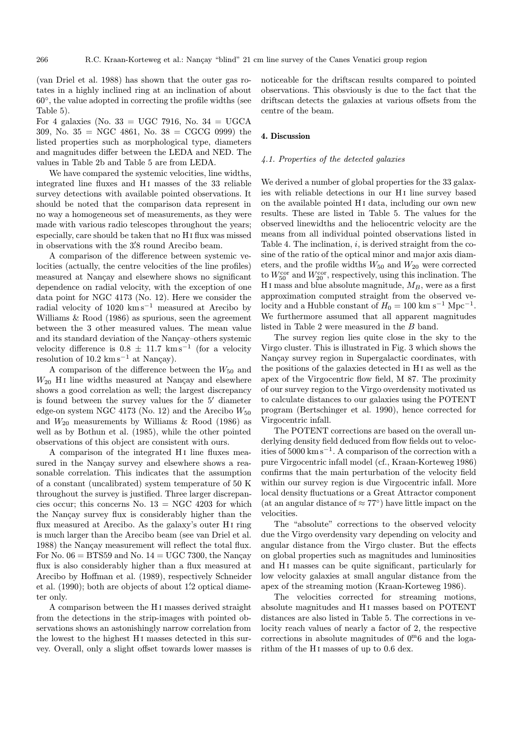(van Driel et al. 1988) has shown that the outer gas rotates in a highly inclined ring at an inclination of about  $60^\circ$ , the value adopted in correcting the profile widths (see Table 5).

For 4 galaxies (No.  $33 = UGC$  7916, No.  $34 = UGCA$ 309, No.  $35 = \text{NGC } 4861$ , No.  $38 = \text{CGCG } 0999$  the listed properties such as morphological type, diameters and magnitudes differ between the LEDA and NED. The values in Table 2b and Table 5 are from LEDA.

We have compared the systemic velocities, line widths, integrated line fluxes and H<sub>I</sub> masses of the 33 reliable survey detections with available pointed observations. It should be noted that the comparison data represent in no way a homogeneous set of measurements, as they were made with various radio telescopes throughout the years; especially, care should be taken that no Hi flux was missed in observations with the 3'8 round Arecibo beam.

A comparison of the difference between systemic velocities (actually, the centre velocities of the line profiles) measured at Nançay and elsewhere shows no significant dependence on radial velocity, with the exception of one data point for NGC 4173 (No. 12). Here we consider the radial velocity of 1020 km s<sup> $-1$ </sup> measured at Arecibo by Williams & Rood (1986) as spurious, seen the agreement between the 3 other measured values. The mean value and its standard deviation of the Nançay–others systemic velocity difference is  $0.8 \pm 11.7$  km s<sup>-1</sup> (for a velocity resolution of  $10.2 \text{ km s}^{-1}$  at Nançay).

A comparison of the difference between the  $W_{50}$  and  $W_{20}$  H<sub>I</sub> line widths measured at Nançay and elsewhere shows a good correlation as well; the largest discrepancy is found between the survey values for the  $5'$  diameter edge-on system NGC 4173 (No. 12) and the Arecibo  $W_{50}$ and  $W_{20}$  measurements by Williams & Rood (1986) as well as by Bothun et al. (1985), while the other pointed observations of this object are consistent with ours.

A comparison of the integrated H<sub>I</sub> line fluxes measured in the Nançay survey and elsewhere shows a reasonable correlation. This indicates that the assumption of a constant (uncalibrated) system temperature of 50 K throughout the survey is justified. Three larger discrepancies occur; this concerns No.  $13 = \text{NGC } 4203$  for which the Nançay survey flux is considerably higher than the flux measured at Arecibo. As the galaxy's outer H<sub>I</sub> ring is much larger than the Arecibo beam (see van Driel et al. 1988) the Nançay measurement will reflect the total flux. For No.  $06 = \text{BTS59}$  and No.  $14 = \text{UGC } 7300$ , the Nançay flux is also considerably higher than a flux measured at Arecibo by Hoffman et al. (1989), respectively Schneider et al. (1990); both are objects of about 1.'2 optical diameter only.

A comparison between the H i masses derived straight from the detections in the strip-images with pointed observations shows an astonishingly narrow correlation from the lowest to the highest H<sub>I</sub> masses detected in this survey. Overall, only a slight offset towards lower masses is noticeable for the driftscan results compared to pointed observations. This obsviously is due to the fact that the driftscan detects the galaxies at various offsets from the centre of the beam.

#### 4. Discussion

# 4.1. Properties of the detected galaxies

We derived a number of global properties for the 33 galaxies with reliable detections in our H<sub>I</sub> line survey based on the available pointed H<sub>I</sub> data, including our own new results. These are listed in Table 5. The values for the observed linewidths and the heliocentric velocity are the means from all individual pointed observations listed in Table 4. The inclination,  $i$ , is derived straight from the cosine of the ratio of the optical minor and major axis diameters, and the profile widths  $W_{50}$  and  $W_{20}$  were corrected to  $W_{50}^{\text{cor}}$  and  $W_{20}^{\text{cor}}$ , respectively, using this inclination. The H<sub>I</sub> mass and blue absolute magnitude,  $M_B$ , were as a first approximation computed straight from the observed velocity and a Hubble constant of  $H_0 = 100$  km s<sup>-1</sup> Mpc<sup>-1</sup>. We furthermore assumed that all apparent magnitudes listed in Table 2 were measured in the B band.

The survey region lies quite close in the sky to the Virgo cluster. This is illustrated in Fig. 3 which shows the Nançay survey region in Supergalactic coordinates, with the positions of the galaxies detected in Hi as well as the apex of the Virgocentric flow field, M 87. The proximity of our survey region to the Virgo overdensity motivated us to calculate distances to our galaxies using the POTENT program (Bertschinger et al. 1990), hence corrected for Virgocentric infall.

The POTENT corrections are based on the overall underlying density field deduced from flow fields out to velocities of 5000 km s<sup>−</sup><sup>1</sup>. A comparison of the correction with a pure Virgocentric infall model (cf., Kraan-Korteweg 1986) confirms that the main perturbation of the velocity field within our survey region is due Virgocentric infall. More local density fluctuations or a Great Attractor component (at an angular distance of  $\approx 77^{\circ}$ ) have little impact on the velocities.

The "absolute" corrections to the observed velocity due the Virgo overdensity vary depending on velocity and angular distance from the Virgo cluster. But the effects on global properties such as magnitudes and luminosities and H<sub>I</sub> masses can be quite significant, particularly for low velocity galaxies at small angular distance from the apex of the streaming motion (Kraan-Korteweg 1986).

The velocities corrected for streaming motions, absolute magnitudes and H<sub>I</sub> masses based on POTENT distances are also listed in Table 5. The corrections in velocity reach values of nearly a factor of 2, the respective corrections in absolute magnitudes of  $0<sup>m</sup>6$  and the logarithm of the H<sub>I</sub> masses of up to 0.6 dex.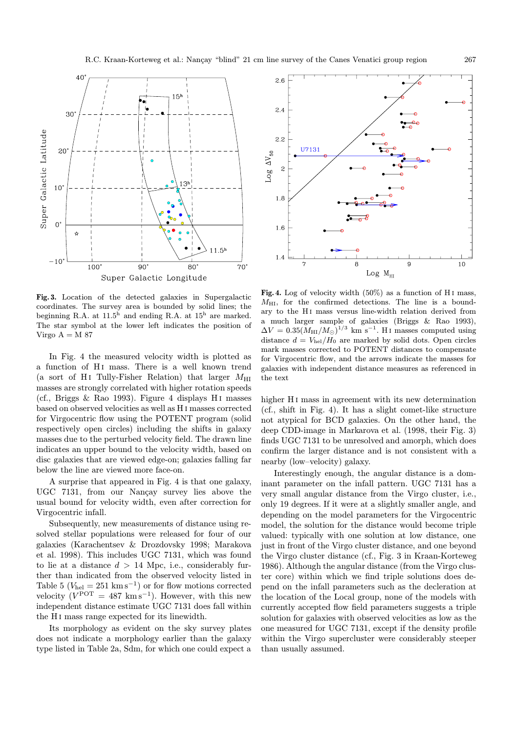

Fig. 3. Location of the detected galaxies in Supergalactic coordinates. The survey area is bounded by solid lines; the beginning R.A. at  $11.5<sup>h</sup>$  and ending R.A. at  $15<sup>h</sup>$  are marked. The star symbol at the lower left indicates the position of Virgo  $A = M 87$ 

In Fig. 4 the measured velocity width is plotted as a function of H<sub>I</sub> mass. There is a well known trend (a sort of H<sub>I</sub> Tully-Fisher Relation) that larger  $M_{\text{HI}}$ masses are strongly correlated with higher rotation speeds (cf., Briggs & Rao 1993). Figure 4 displays H<sub>I</sub> masses based on observed velocities as well as H i masses corrected for Virgocentric flow using the POTENT program (solid respectively open circles) including the shifts in galaxy masses due to the perturbed velocity field. The drawn line indicates an upper bound to the velocity width, based on disc galaxies that are viewed edge-on; galaxies falling far below the line are viewed more face-on.

A surprise that appeared in Fig. 4 is that one galaxy, UGC 7131, from our Nançay survey lies above the usual bound for velocity width, even after correction for Virgocentric infall.

Subsequently, new measurements of distance using resolved stellar populations were released for four of our galaxies (Karachentsev & Drozdovsky 1998; Marakova et al. 1998). This includes UGC 7131, which was found to lie at a distance  $d > 14$  Mpc, i.e., considerably further than indicated from the observed velocity listed in Table 5 ( $V_{hel} = 251 \text{ km s}^{-1}$ ) or for flow motions corrected velocity  $(V^{\text{per}} = 487 \text{ km s}^{-1})$ . However, with this new independent distance estimate UGC 7131 does fall within the H<sub>I</sub> mass range expected for its linewidth.

Its morphology as evident on the sky survey plates does not indicate a morphology earlier than the galaxy type listed in Table 2a, Sdm, for which one could expect a



Fig. 4. Log of velocity width  $(50\%)$  as a function of H<sub>I</sub> mass,  $M_{\rm HI}$ , for the confirmed detections. The line is a boundary to the H<sub>I</sub> mass versus line-width relation derived from a much larger sample of galaxies (Briggs & Rao 1993),  $\Delta V = 0.35 (M_{\rm HI}/M_{\odot})^{1/3}$  km s<sup>-1</sup>. H<sub>I</sub> masses computed using distance  $d = V_{hel}/H_0$  are marked by solid dots. Open circles mark masses corrected to POTENT distances to compensate for Virgocentric flow, and the arrows indicate the masses for galaxies with independent distance measures as referenced in the text

higher H<sub>I</sub> mass in agreement with its new determination (cf., shift in Fig. 4). It has a slight comet-like structure not atypical for BCD galaxies. On the other hand, the deep CDD-image in Markarova et al. (1998, their Fig. 3) finds UGC 7131 to be unresolved and amorph, which does confirm the larger distance and is not consistent with a nearby (low–velocity) galaxy.

Interestingly enough, the angular distance is a dominant parameter on the infall pattern. UGC 7131 has a very small angular distance from the Virgo cluster, i.e., only 19 degrees. If it were at a slightly smaller angle, and depending on the model parameters for the Virgocentric model, the solution for the distance would become triple valued: typically with one solution at low distance, one just in front of the Virgo cluster distance, and one beyond the Virgo cluster distance (cf., Fig. 3 in Kraan-Korteweg 1986). Although the angular distance (from the Virgo cluster core) within which we find triple solutions does depend on the infall parameters such as the decleration at the location of the Local group, none of the models with currently accepted flow field parameters suggests a triple solution for galaxies with observed velocities as low as the one measured for UGC 7131, except if the density profile within the Virgo supercluster were considerably steeper than usually assumed.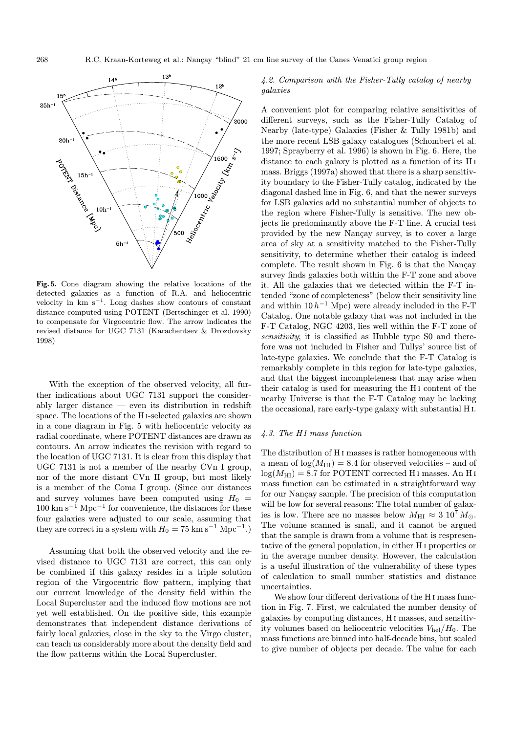

Fig. 5. Cone diagram showing the relative locations of the detected galaxies as a function of R.A. and heliocentric velocity in  $km s^{-1}$ . Long dashes show contours of constant distance computed using POTENT (Bertschinger et al. 1990) to compensate for Virgocentric flow. The arrow indicates the revised distance for UGC 7131 (Karachentsev & Drozdovsky 1998)

With the exception of the observed velocity, all further indications about UGC 7131 support the considerably larger distance — even its distribution in redshift space. The locations of the Hi-selected galaxies are shown in a cone diagram in Fig. 5 with heliocentric velocity as radial coordinate, where POTENT distances are drawn as contours. An arrow indicates the revision with regard to the location of UGC 7131. It is clear from this display that UGC 7131 is not a member of the nearby CVn I group, nor of the more distant CVn II group, but most likely is a member of the Coma I group. (Since our distances and survey volumes have been computed using  $H_0 =$  $100 \text{ km s}^{-1} \text{ Mpc}^{-1}$  for convenience, the distances for these four galaxies were adjusted to our scale, assuming that they are correct in a system with  $H_0 = 75$  km s<sup>-1</sup> Mpc<sup>-1</sup>.)

Assuming that both the observed velocity and the revised distance to UGC 7131 are correct, this can only be combined if this galaxy resides in a triple solution region of the Virgocentric flow pattern, implying that our current knowledge of the density field within the Local Supercluster and the induced flow motions are not yet well established. On the positive side, this example demonstrates that independent distance derivations of fairly local galaxies, close in the sky to the Virgo cluster, can teach us considerably more about the density field and the flow patterns within the Local Supercluster.

# 4.2. Comparison with the Fisher-Tully catalog of nearby galaxies

A convenient plot for comparing relative sensitivities of different surveys, such as the Fisher-Tully Catalog of Nearby (late-type) Galaxies (Fisher & Tully 1981b) and the more recent LSB galaxy catalogues (Schombert et al. 1997; Sprayberry et al. 1996) is shown in Fig. 6. Here, the distance to each galaxy is plotted as a function of its H i mass. Briggs (1997a) showed that there is a sharp sensitivity boundary to the Fisher-Tully catalog, indicated by the diagonal dashed line in Fig. 6, and that the newer surveys for LSB galaxies add no substantial number of objects to the region where Fisher-Tully is sensitive. The new objects lie predominantly above the F-T line. A crucial test provided by the new Nançay survey, is to cover a large area of sky at a sensitivity matched to the Fisher-Tully sensitivity, to determine whether their catalog is indeed complete. The result shown in Fig.  $6$  is that the Nançay survey finds galaxies both within the F-T zone and above it. All the galaxies that we detected within the F-T intended "zone of completeness" (below their sensitivity line and within  $10 h^{-1}$  Mpc) were already included in the F-T Catalog. One notable galaxy that was not included in the F-T Catalog, NGC 4203, lies well within the F-T zone of sensitivity; it is classified as Hubble type S0 and therefore was not included in Fisher and Tullys' source list of late-type galaxies. We conclude that the F-T Catalog is remarkably complete in this region for late-type galaxies, and that the biggest incompleteness that may arise when their catalog is used for measuring the H<sub>I</sub> content of the nearby Universe is that the F-T Catalog may be lacking the occasional, rare early-type galaxy with substantial H i.

#### $4.3.$  The HI mass function

The distribution of H i masses is rather homogeneous with a mean of  $log(M_{\text{HI}}) = 8.4$  for observed velocities – and of  $log(M_{\text{HI}}) = 8.7$  for POTENT corrected H<sub>I</sub> masses. An H<sub>I</sub> mass function can be estimated in a straightforward way for our Nançay sample. The precision of this computation will be low for several reasons: The total number of galaxies is low. There are no masses below  $M_{\rm HI} \approx 3 \; 10^7 \, M_{\odot}$ . The volume scanned is small, and it cannot be argued that the sample is drawn from a volume that is respresentative of the general population, in either H i properties or in the average number density. However, the calculation is a useful illustration of the vulnerability of these types of calculation to small number statistics and distance uncertainties.

We show four different derivations of the H<sub>I</sub> mass function in Fig. 7. First, we calculated the number density of galaxies by computing distances, H i masses, and sensitivity volumes based on heliocentric velocities  $V_{hel}/H_0$ . The mass functions are binned into half-decade bins, but scaled to give number of objects per decade. The value for each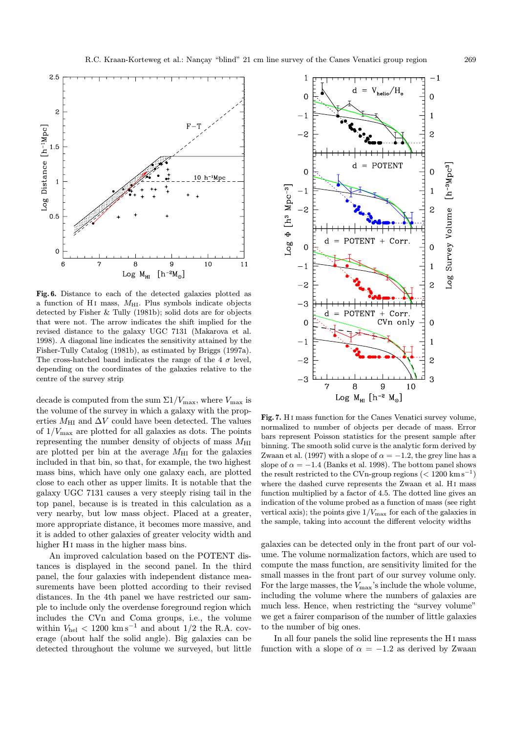

Fig. 6. Distance to each of the detected galaxies plotted as a function of H<sub>I</sub> mass,  $M_{\text{HI}}$ . Plus symbols indicate objects detected by Fisher & Tully (1981b); solid dots are for objects that were not. The arrow indicates the shift implied for the revised distance to the galaxy UGC 7131 (Makarova et al. 1998). A diagonal line indicates the sensitivity attained by the Fisher-Tully Catalog (1981b), as estimated by Briggs (1997a). The cross-hatched band indicates the range of the 4  $\sigma$  level, depending on the coordinates of the galaxies relative to the centre of the survey strip

decade is computed from the sum  $\Sigma 1/V_{\text{max}}$ , where  $V_{\text{max}}$  is the volume of the survey in which a galaxy with the properties  $M_{\rm HI}$  and  $\Delta V$  could have been detected. The values of  $1/V_{\text{max}}$  are plotted for all galaxies as dots. The points representing the number density of objects of mass  $M_{\rm HI}$ are plotted per bin at the average  $M_{\text{HI}}$  for the galaxies included in that bin, so that, for example, the two highest mass bins, which have only one galaxy each, are plotted close to each other as upper limits. It is notable that the galaxy UGC 7131 causes a very steeply rising tail in the top panel, because is is treated in this calculation as a very nearby, but low mass object. Placed at a greater, more appropriate distance, it becomes more massive, and it is added to other galaxies of greater velocity width and higher H<sub>I</sub> mass in the higher mass bins.

An improved calculation based on the POTENT distances is displayed in the second panel. In the third panel, the four galaxies with independent distance measurements have been plotted according to their revised distances. In the 4th panel we have restricted our sample to include only the overdense foreground region which includes the CVn and Coma groups, i.e., the volume within  $V_{hel}$  < 1200 km s<sup>-1</sup> and about 1/2 the R.A. coverage (about half the solid angle). Big galaxies can be detected throughout the volume we surveyed, but little



Fig. 7. H i mass function for the Canes Venatici survey volume, normalized to number of objects per decade of mass. Error bars represent Poisson statistics for the present sample after binning. The smooth solid curve is the analytic form derived by Zwaan et al. (1997) with a slope of  $\alpha = -1.2$ , the grey line has a slope of  $\alpha = -1.4$  (Banks et al. 1998). The bottom panel shows the result restricted to the CVn-group regions ( $< 1200 \text{ km s}^{-1}$ ) where the dashed curve represents the Zwaan et al. HI mass function multiplied by a factor of 4.5. The dotted line gives an indication of the volume probed as a function of mass (see right vertical axis); the points give  $1/V_{\text{max}}$  for each of the galaxies in the sample, taking into account the different velocity widths

galaxies can be detected only in the front part of our volume. The volume normalization factors, which are used to compute the mass function, are sensitivity limited for the small masses in the front part of our survey volume only. For the large masses, the  $V_{\text{max}}$ 's include the whole volume, including the volume where the numbers of galaxies are much less. Hence, when restricting the "survey volume" we get a fairer comparison of the number of little galaxies to the number of big ones.

In all four panels the solid line represents the H i mass function with a slope of  $\alpha = -1.2$  as derived by Zwaan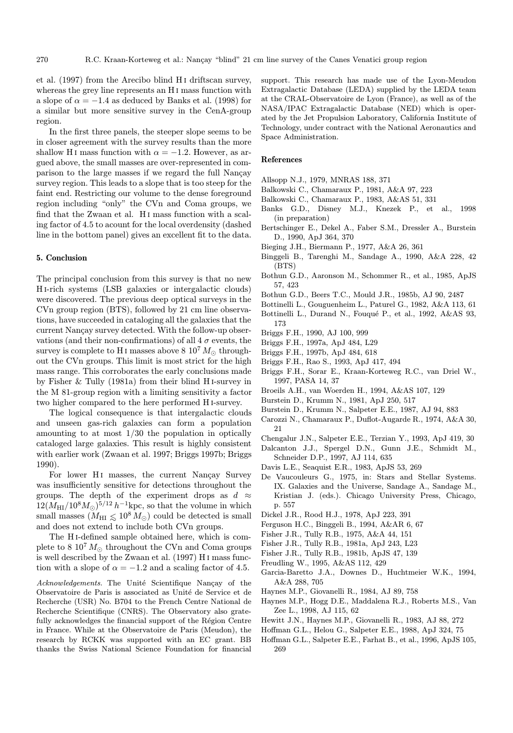et al. (1997) from the Arecibo blind H<sub>I</sub> driftscan survey, whereas the grey line represents an H<sub>I</sub> mass function with a slope of  $\alpha = -1.4$  as deduced by Banks et al. (1998) for a similar but more sensitive survey in the CenA-group region.

In the first three panels, the steeper slope seems to be in closer agreement with the survey results than the more shallow H<sub>I</sub> mass function with  $\alpha = -1.2$ . However, as argued above, the small masses are over-represented in comparison to the large masses if we regard the full Nançay survey region. This leads to a slope that is too steep for the faint end. Restricting our volume to the dense foreground region including "only" the CVn and Coma groups, we find that the Zwaan et al. H<sub>I</sub> mass function with a scaling factor of 4.5 to acount for the local overdensity (dashed line in the bottom panel) gives an excellent fit to the data.

#### 5. Conclusion

The principal conclusion from this survey is that no new H i-rich systems (LSB galaxies or intergalactic clouds) were discovered. The previous deep optical surveys in the CVn group region (BTS), followed by 21 cm line observations, have succeeded in cataloging all the galaxies that the current Nancay survey detected. With the follow-up observations (and their non-confirmations) of all  $4\sigma$  events, the survey is complete to H<sub>I</sub> masses above 8  $10^7 M_{\odot}$  throughout the CVn groups. This limit is most strict for the high mass range. This corroborates the early conclusions made by Fisher & Tully (1981a) from their blind H i-survey in the M 81-group region with a limiting sensitivity a factor two higher compared to the here performed H i-survey.

The logical consequence is that intergalactic clouds and unseen gas-rich galaxies can form a population amounting to at most  $1/30$  the population in optically cataloged large galaxies. This result is highly consistent with earlier work (Zwaan et al. 1997; Briggs 1997b; Briggs 1990).

For lower H<sub>I</sub> masses, the current Nançay Survey was insufficiently sensitive for detections throughout the groups. The depth of the experiment drops as  $d \approx$  $12(M_{\rm HI}/10^8M_{\odot})^{5/12}h^{-1}{\rm kpc}$ , so that the volume in which small masses  $(M_{\text{HI}} \leq 10^8 M_{\odot})$  could be detected is small and does not extend to include both CVn groups.

The H i-defined sample obtained here, which is complete to 8  $10^7 M_{\odot}$  throughout the CVn and Coma groups is well described by the Zwaan et al. (1997) H i mass function with a slope of  $\alpha = -1.2$  and a scaling factor of 4.5.

Acknowledgements. The Unité Scientifique Nançay of the Observatoire de Paris is associated as Unité de Service et de Recherche (USR) No. B704 to the French Centre National de Recherche Scientifique (CNRS). The Observatory also gratefully acknowledges the financial support of the Région Centre in France. While at the Observatoire de Paris (Meudon), the research by RCKK was supported with an EC grant. BB thanks the Swiss National Science Foundation for financial

support. This research has made use of the Lyon-Meudon Extragalactic Database (LEDA) supplied by the LEDA team at the CRAL-Observatoire de Lyon (France), as well as of the NASA/IPAC Extragalactic Database (NED) which is operated by the Jet Propulsion Laboratory, California Institute of Technology, under contract with the National Aeronautics and Space Administration.

#### References

- Allsopp N.J., 1979, MNRAS 188, 371
- Balkowski C., Chamaraux P., 1981, A&A 97, 223
- Balkowski C., Chamaraux P., 1983, A&AS 51, 331
- Banks G.D., Disney M.J., Knezek P., et al., 1998 (in preparation)
- Bertschinger E., Dekel A., Faber S.M., Dressler A., Burstein D., 1990, ApJ 364, 370
- Bieging J.H., Biermann P., 1977, A&A 26, 361
- Binggeli B., Tarenghi M., Sandage A., 1990, A&A 228, 42 (BTS)
- Bothun G.D., Aaronson M., Schommer R., et al., 1985, ApJS 57, 423
- Bothun G.D., Beers T.C., Mould J.R., 1985b, AJ 90, 2487
- Bottinelli L., Gouguenheim L., Paturel G., 1982, A&A 113, 61
- Bottinelli L., Durand N., Fouqué P., et al., 1992, A&AS 93, 173
- Briggs F.H., 1990, AJ 100, 999
- Briggs F.H., 1997a, ApJ 484, L29
- Briggs F.H., 1997b, ApJ 484, 618
- Briggs F.H., Rao S., 1993, ApJ 417, 494
- Briggs F.H., Sorar E., Kraan-Korteweg R.C., van Driel W., 1997, PASA 14, 37
- Broeils A.H., van Woerden H., 1994, A&AS 107, 129
- Burstein D., Krumm N., 1981, ApJ 250, 517
- Burstein D., Krumm N., Salpeter E.E., 1987, AJ 94, 883
- Carozzi N., Chamaraux P., Duflot-Augarde R., 1974, A&A 30, 21
- Chengalur J.N., Salpeter E.E., Terzian Y., 1993, ApJ 419, 30
- Dalcanton J.J., Spergel D.N., Gunn J.E., Schmidt M., Schneider D.P., 1997, AJ 114, 635
- Davis L.E., Seaquist E.R., 1983, ApJS 53, 269
- De Vaucouleurs G., 1975, in: Stars and Stellar Systems. IX. Galaxies and the Universe, Sandage A., Sandage M., Kristian J. (eds.). Chicago University Press, Chicago, p. 557
- Dickel J.R., Rood H.J., 1978, ApJ 223, 391
- Ferguson H.C., Binggeli B., 1994, A&AR 6, 67
- Fisher J.R., Tully R.B., 1975, A&A 44, 151
- Fisher J.R., Tully R.B., 1981a, ApJ 243, L23
- Fisher J.R., Tully R.B., 1981b, ApJS 47, 139
- Freudling W., 1995, A&AS 112, 429
- Garcia-Baretto J.A., Downes D., Huchtmeier W.K., 1994, A&A 288, 705
- Haynes M.P., Giovanelli R., 1984, AJ 89, 758
- Haynes M.P., Hogg D.E., Maddalena R.J., Roberts M.S., Van Zee L., 1998, AJ 115, 62
- Hewitt J.N., Haynes M.P., Giovanelli R., 1983, AJ 88, 272
- Hoffman G.L., Helou G., Salpeter E.E., 1988, ApJ 324, 75
- Hoffman G.L., Salpeter E.E., Farhat B., et al., 1996, ApJS 105, 269